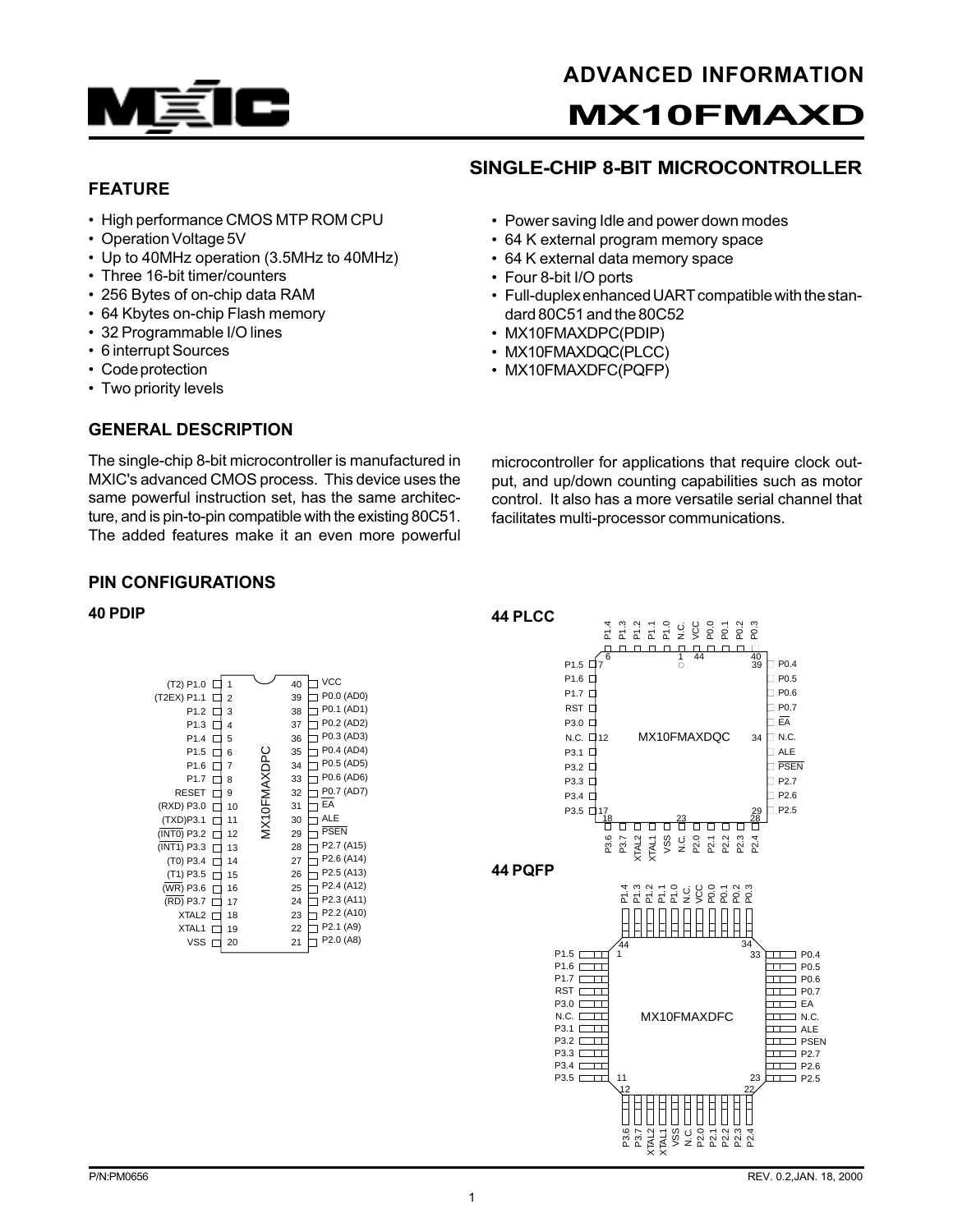

# FEATURE

- High performance CMOS MTP ROM CPU
- Operation Voltage 5V
- Up to 40MHz operation (3.5MHz to 40MHz)
- Three 16-bit timer/counters
- 256 Bytes of on-chip data RAM
- 64 Kbytes on-chip Flash memory
- 32 Programmable I/O lines
- 6 interrupt Sources
- Code protection
- Two priority levels

## GENERAL DESCRIPTION

#### • Power saving Idle and power down modes • 64 K external program memory space

SINGLE-CHIP 8-BIT MICROCONTROLLER

- 64 K external data memory space
- Four 8-bit I/O ports
- Full-duplex enhanced UART compatible with the standard 80C51 and the 80C52
- MX10FMAXDPC(PDIP)
- MX10FMAXDQC(PLCC)
- MX10FMAXDFC(PQFP)

The single-chip 8-bit microcontroller is manufactured in MXIC's advanced CMOS process. This device uses the same powerful instruction set, has the same architecture, and is pin-to-pin compatible with the existing 80C51. The added features make it an even more powerful microcontroller for applications that require clock output, and up/down counting capabilities such as motor control. It also has a more versatile serial channel that facilitates multi-processor communications.

## PIN CONFIGURATIONS

| (T2) P1.0         | 1  |              | 40 | VCC         |
|-------------------|----|--------------|----|-------------|
| (T2EX) P1.1       | 2  |              | 39 | P0.0 (AD0)  |
| P1.2              | 3  |              | 38 | P0.1 (AD1)  |
| P <sub>1.3</sub>  | 4  |              | 37 | P0.2 (AD2)  |
| P <sub>1.4</sub>  | 5  |              | 36 | P0.3 (AD3)  |
| P <sub>1.5</sub>  | 6  |              | 35 | P0.4 (AD4)  |
| P <sub>1.6</sub>  | 7  |              | 34 | P0.5 (AD5)  |
| P <sub>1.7</sub>  | 8  | VIX10FMAXDPC | 33 | P0.6 (AD6)  |
| <b>RESET</b>      | 9  |              | 32 | P0.7 (AD7)  |
| (RXD) P3.0        | 10 |              | 31 | EA          |
| (TXD)P3.1         | 11 |              | 30 | <b>ALE</b>  |
| (INT0) P3.2       | 12 |              | 29 | <b>PSEN</b> |
| (INT1) P3.3       | 13 |              | 28 | P2.7 (A15)  |
| (T0) P3.4         | 14 |              | 27 | P2.6 (A14)  |
| (T1) P3.5         | 15 |              | 26 | P2.5 (A13)  |
| (WR) P3.6         | 16 |              | 25 | P2.4 (A12)  |
| (RD) P3.7         | 17 |              | 24 | P2.3 (A11)  |
| XTAL <sub>2</sub> | 18 |              | 23 | P2.2 (A10)  |
| XTAL <sub>1</sub> | 19 |              | 22 | P2.1 (A9)   |
| <b>VSS</b>        | 20 |              | 21 | P2.0 (A8)   |
|                   |    |              |    |             |

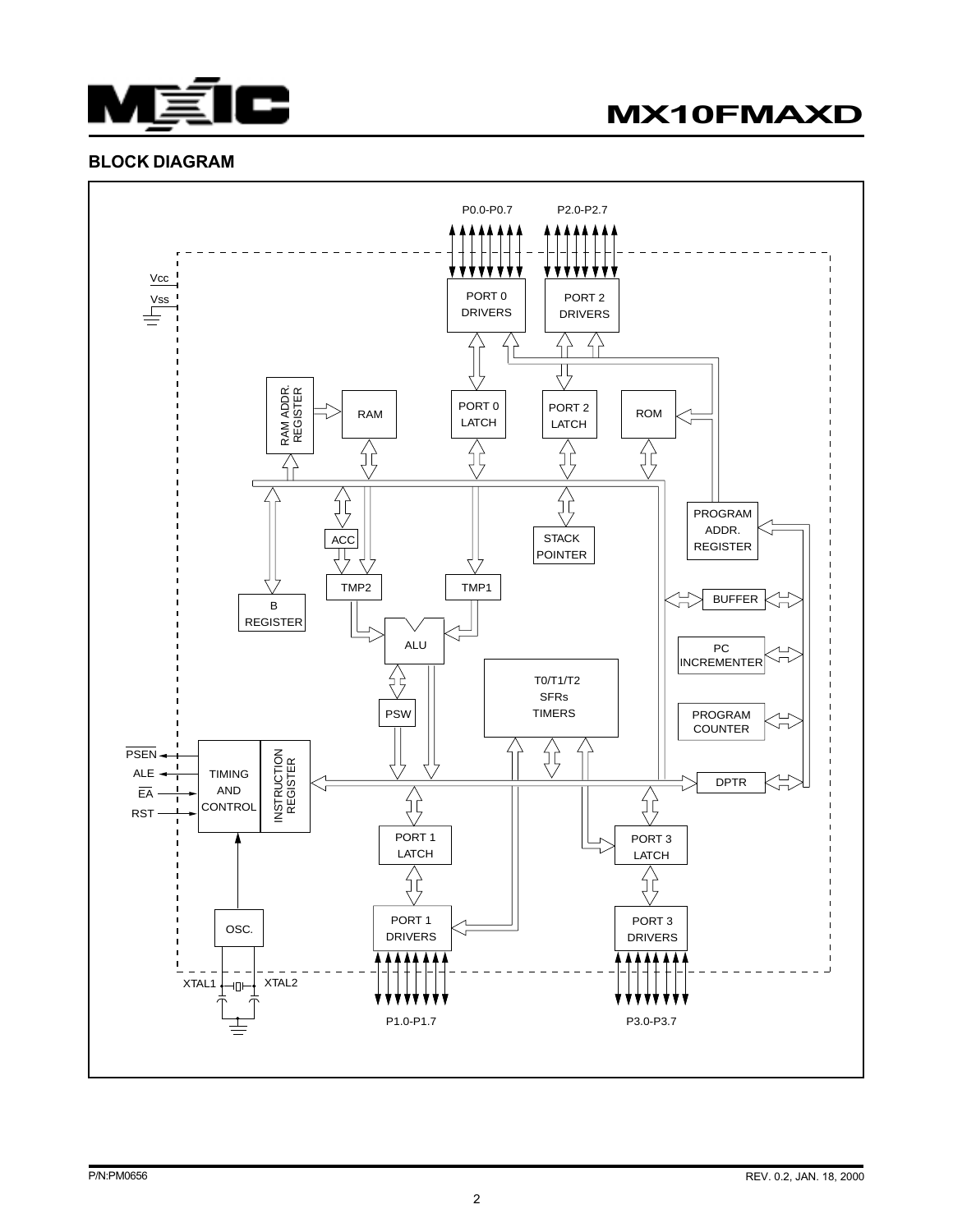

MX10FMAXD

## BLOCK DIAGRAM

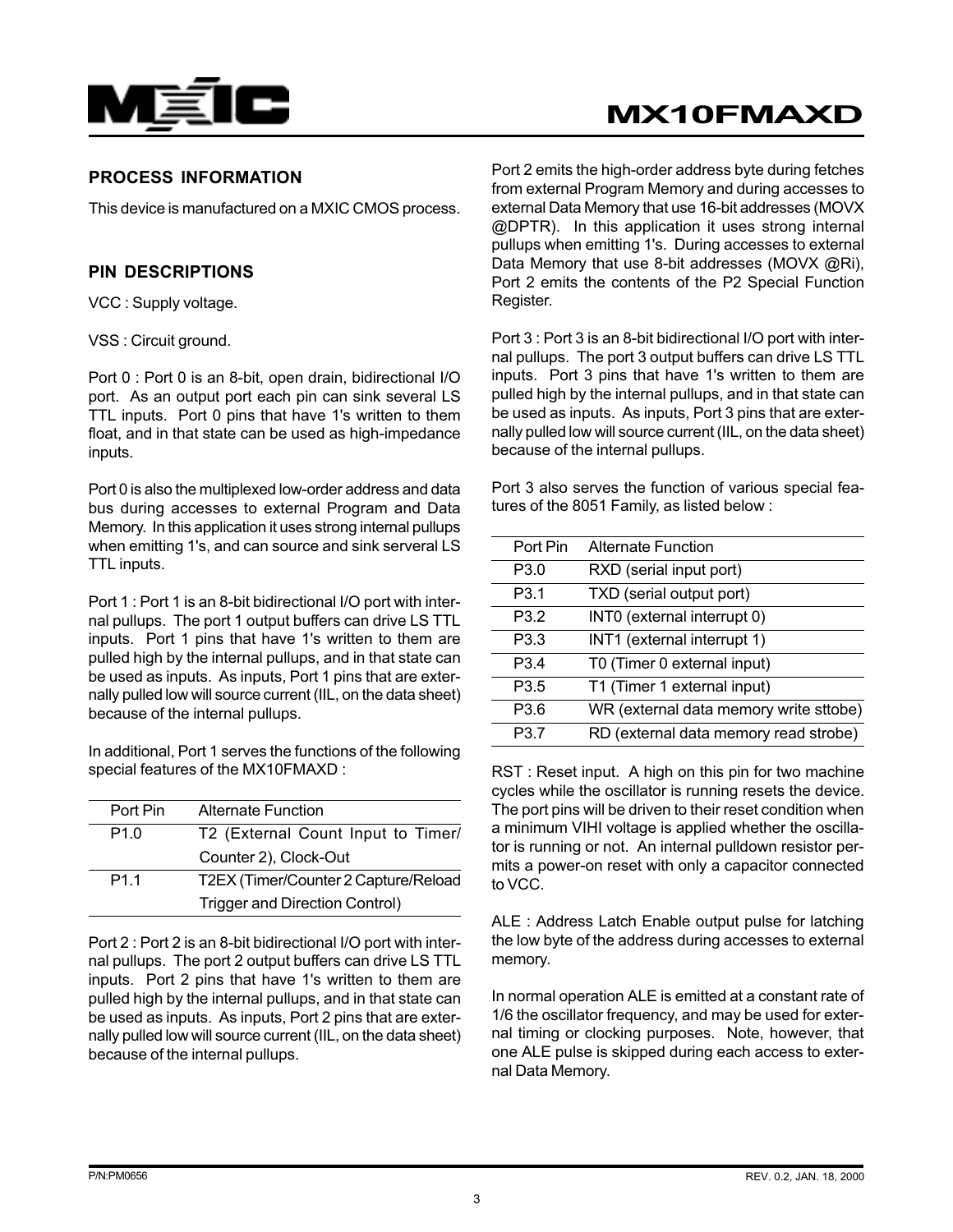

# MX10FMAXD

# PROCESS INFORMATION

This device is manufactured on a MXIC CMOS process.

#### PIN DESCRIPTIONS

VCC : Supply voltage.

VSS : Circuit ground.

Port 0 : Port 0 is an 8-bit, open drain, bidirectional I/O port. As an output port each pin can sink several LS TTL inputs. Port 0 pins that have 1's written to them float, and in that state can be used as high-impedance inputs.

Port 0 is also the multiplexed low-order address and data bus during accesses to external Program and Data Memory. In this application it uses strong internal pullups when emitting 1's, and can source and sink serveral LS TTL inputs.

Port 1 : Port 1 is an 8-bit bidirectional I/O port with internal pullups. The port 1 output buffers can drive LS TTL inputs. Port 1 pins that have 1's written to them are pulled high by the internal pullups, and in that state can be used as inputs. As inputs, Port 1 pins that are externally pulled low will source current (IIL, on the data sheet) because of the internal pullups.

In additional, Port 1 serves the functions of the following special features of the MX10FMAXD :

| Port Pin         | <b>Alternate Function</b>            |
|------------------|--------------------------------------|
| P <sub>1.0</sub> | T2 (External Count Input to Timer/   |
|                  | Counter 2), Clock-Out                |
| P <sub>1.1</sub> | T2EX (Timer/Counter 2 Capture/Reload |
|                  | Trigger and Direction Control)       |

Port 2 : Port 2 is an 8-bit bidirectional I/O port with internal pullups. The port 2 output buffers can drive LS TTL inputs. Port 2 pins that have 1's written to them are pulled high by the internal pullups, and in that state can be used as inputs. As inputs, Port 2 pins that are externally pulled low will source current (IIL, on the data sheet) because of the internal pullups.

Port 2 emits the high-order address byte during fetches from external Program Memory and during accesses to external Data Memory that use 16-bit addresses (MOVX @DPTR). In this application it uses strong internal pullups when emitting 1's. During accesses to external Data Memory that use 8-bit addresses (MOVX @Ri), Port 2 emits the contents of the P2 Special Function Register.

Port 3 : Port 3 is an 8-bit bidirectional I/O port with internal pullups. The port 3 output buffers can drive LS TTL inputs. Port 3 pins that have 1's written to them are pulled high by the internal pullups, and in that state can be used as inputs. As inputs, Port 3 pins that are externally pulled low will source current (IIL, on the data sheet) because of the internal pullups.

Port 3 also serves the function of various special features of the 8051 Family, as listed below :

| Port Pin         | <b>Alternate Function</b>              |
|------------------|----------------------------------------|
| P <sub>3.0</sub> | RXD (serial input port)                |
| P <sub>3.1</sub> | TXD (serial output port)               |
| P <sub>3.2</sub> | INTO (external interrupt 0)            |
| P <sub>3.3</sub> | INT1 (external interrupt 1)            |
| P <sub>3.4</sub> | T0 (Timer 0 external input)            |
| P <sub>3.5</sub> | T1 (Timer 1 external input)            |
| P <sub>3.6</sub> | WR (external data memory write sttobe) |
| P <sub>3.7</sub> | RD (external data memory read strobe)  |
|                  |                                        |

RST : Reset input. A high on this pin for two machine cycles while the oscillator is running resets the device. The port pins will be driven to their reset condition when a minimum VIHI voltage is applied whether the oscillator is running or not. An internal pulldown resistor permits a power-on reset with only a capacitor connected to VCC.

ALE : Address Latch Enable output pulse for latching the low byte of the address during accesses to external memory.

In normal operation ALE is emitted at a constant rate of 1/6 the oscillator frequency, and may be used for external timing or clocking purposes. Note, however, that one ALE pulse is skipped during each access to external Data Memory.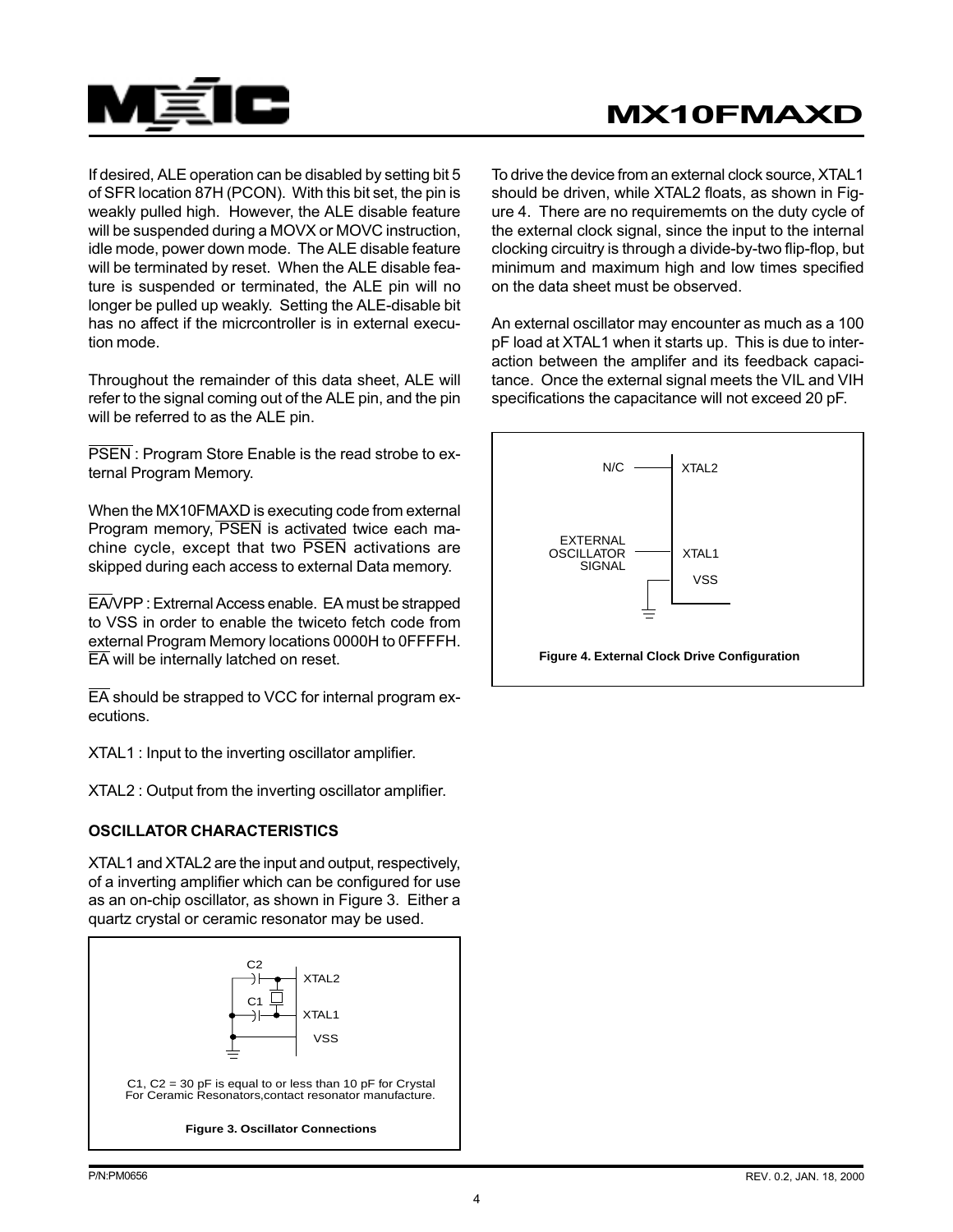

If desired, ALE operation can be disabled by setting bit 5 of SFR location 87H (PCON). With this bit set, the pin is weakly pulled high. However, the ALE disable feature will be suspended during a MOVX or MOVC instruction, idle mode, power down mode. The ALE disable feature will be terminated by reset. When the ALE disable feature is suspended or terminated, the ALE pin will no longer be pulled up weakly. Setting the ALE-disable bit has no affect if the micrcontroller is in external execution mode.

Throughout the remainder of this data sheet, ALE will refer to the signal coming out of the ALE pin, and the pin will be referred to as the ALE pin.

PSEN: Program Store Enable is the read strobe to external Program Memory.

When the MX10FMAXD is executing code from external Program memory, PSEN is activated twice each machine cycle, except that two PSEN activations are skipped during each access to external Data memory.

EA/VPP : Extrernal Access enable. EA must be strapped to VSS in order to enable the twiceto fetch code from external Program Memory locations 0000H to 0FFFFH. EA will be internally latched on reset.

EA should be strapped to VCC for internal program executions.

XTAL1 : Input to the inverting oscillator amplifier.

XTAL2 : Output from the inverting oscillator amplifier.

#### OSCILLATOR CHARACTERISTICS

XTAL1 and XTAL2 are the input and output, respectively, of a inverting amplifier which can be configured for use as an on-chip oscillator, as shown in Figure 3. Either a quartz crystal or ceramic resonator may be used.



To drive the device from an external clock source, XTAL1 should be driven, while XTAL2 floats, as shown in Figure 4. There are no requirememts on the duty cycle of the external clock signal, since the input to the internal clocking circuitry is through a divide-by-two flip-flop, but minimum and maximum high and low times specified on the data sheet must be observed.

An external oscillator may encounter as much as a 100 pF load at XTAL1 when it starts up. This is due to interaction between the amplifer and its feedback capacitance. Once the external signal meets the VIL and VIH specifications the capacitance will not exceed 20 pF.

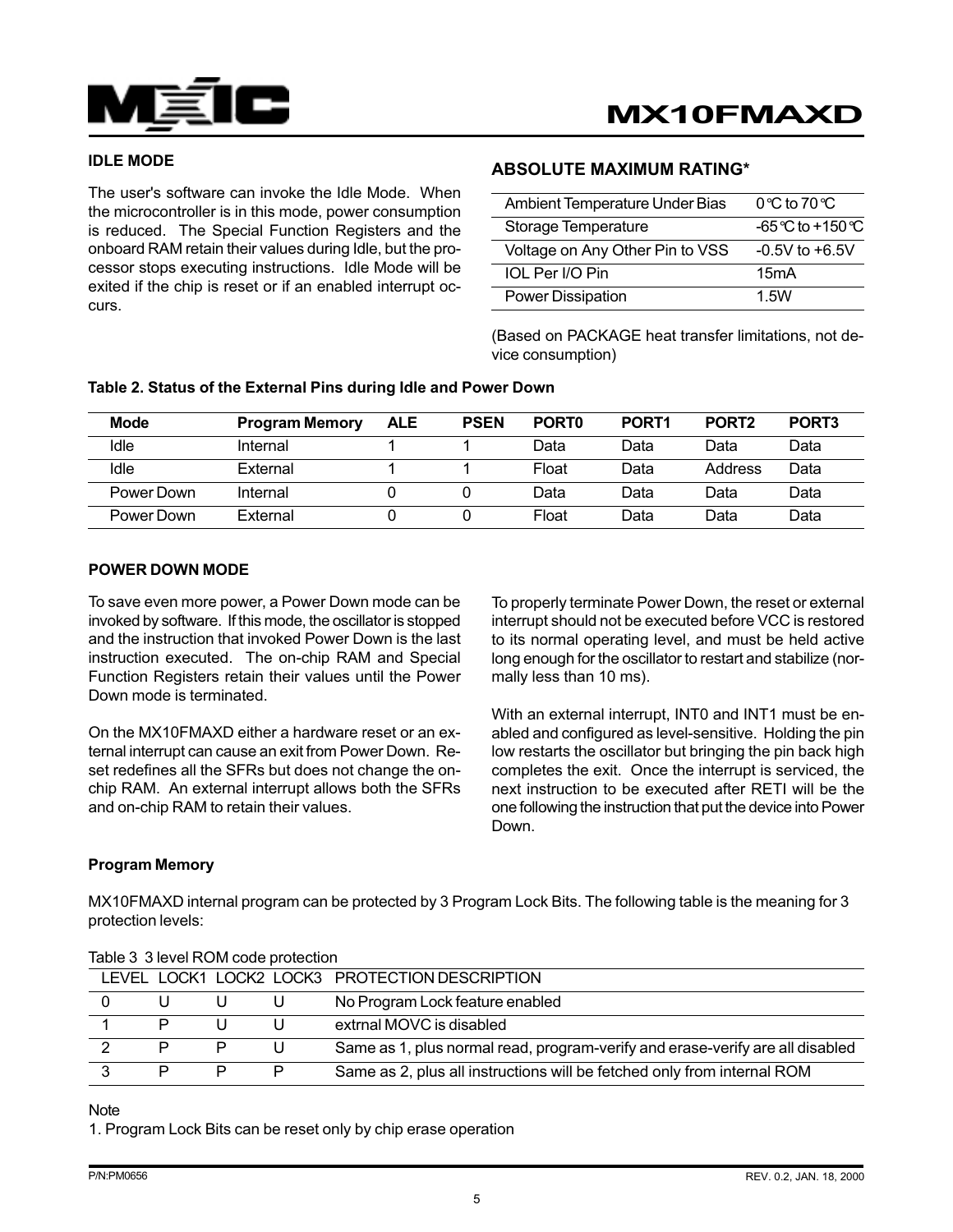

#### IDLE MODE

The user's software can invoke the Idle Mode. When the microcontroller is in this mode, power consumption is reduced. The Special Function Registers and the onboard RAM retain their values during Idle, but the processor stops executing instructions. Idle Mode will be exited if the chip is reset or if an enabled interrupt occurs.

#### ABSOLUTE MAXIMUM RATING\*

| Ambient Temperature Under Bias  | $0^\circ \text{C}$ to $70^\circ \text{C}$ |
|---------------------------------|-------------------------------------------|
| Storage Temperature             | $-65$ °C to $+150$ °C                     |
| Voltage on Any Other Pin to VSS | $-0.5V$ to $+6.5V$                        |
| IOL Per I/O Pin                 | 15mA                                      |
| <b>Power Dissipation</b>        | 1.5W                                      |

(Based on PACKAGE heat transfer limitations, not device consumption)

| <b>Mode</b> | <b>Program Memory</b> | <b>ALE</b> | <b>PSEN</b> | PORT <sub>0</sub> | PORT <sub>1</sub> | PORT <sub>2</sub> | PORT <sub>3</sub> |
|-------------|-----------------------|------------|-------------|-------------------|-------------------|-------------------|-------------------|
| Idle        | Internal              |            |             | Data              | Data              | Data              | Data              |
| Idle        | External              |            |             | Float             | Data              | Address           | Data              |
| Power Down  | Internal              |            |             | Data              | Data              | Data              | Data              |
| Power Down  | External              |            |             | Float             | Data              | Data              | Data              |

#### POWER DOWN MODE

To save even more power, a Power Down mode can be invoked by software. If this mode, the oscillator is stopped and the instruction that invoked Power Down is the last instruction executed. The on-chip RAM and Special Function Registers retain their values until the Power Down mode is terminated.

On the MX10FMAXD either a hardware reset or an external interrupt can cause an exit from Power Down. Reset redefines all the SFRs but does not change the onchip RAM. An external interrupt allows both the SFRs and on-chip RAM to retain their values.

To properly terminate Power Down, the reset or external interrupt should not be executed before VCC is restored to its normal operating level, and must be held active long enough for the oscillator to restart and stabilize (normally less than 10 ms).

With an external interrupt, INT0 and INT1 must be enabled and configured as level-sensitive. Holding the pin low restarts the oscillator but bringing the pin back high completes the exit. Once the interrupt is serviced, the next instruction to be executed after RETI will be the one following the instruction that put the device into Power Down.

#### Program Memory

MX10FMAXD internal program can be protected by 3 Program Lock Bits. The following table is the meaning for 3 protection levels:

|   |   | LEVEL LOCK1 LOCK2 LOCK3 PROTECTION DESCRIPTION                                |
|---|---|-------------------------------------------------------------------------------|
|   |   | No Program Lock feature enabled                                               |
| P |   | extrnal MOVC is disabled                                                      |
|   |   | Same as 1, plus normal read, program-verify and erase-verify are all disabled |
| P | P | Same as 2, plus all instructions will be fetched only from internal ROM       |

#### Table 3 3 level ROM code protection

#### Note

1. Program Lock Bits can be reset only by chip erase operation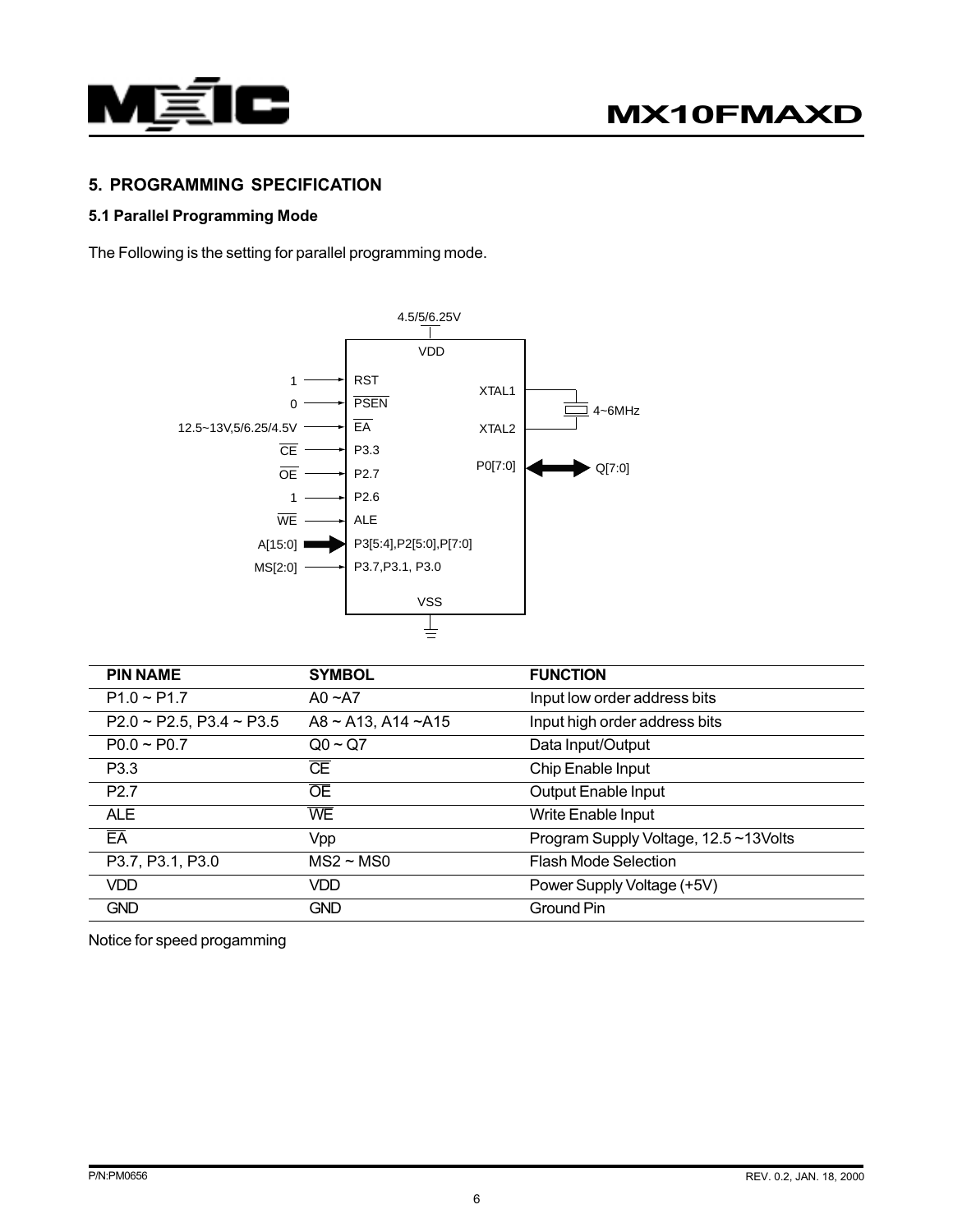

# 5. PROGRAMMING SPECIFICATION

# 5.1 Parallel Programming Mode

The Following is the setting for parallel programming mode.



| <b>PIN NAME</b>                  | <b>SYMBOL</b>            | <b>FUNCTION</b>                      |
|----------------------------------|--------------------------|--------------------------------------|
| $P1.0 \sim P1.7$                 | $AO - A7$                | Input low order address bits         |
| $P2.0 \sim P2.5, P3.4 \sim P3.5$ | $A8 \sim A13$ , A14 ~A15 | Input high order address bits        |
| $PO.0 \sim PO.7$                 | $Q_0 \sim Q_7$           | Data Input/Output                    |
| P <sub>3.3</sub>                 | $\overline{\text{CE}}$   | Chip Enable Input                    |
| P <sub>2.7</sub>                 | <b>OE</b>                | <b>Output Enable Input</b>           |
| <b>ALE</b>                       | <b>WE</b>                | Write Enable Input                   |
| $E\overline{A}$                  | Vpp                      | Program Supply Voltage, 12.5~13Volts |
| P3.7, P3.1, P3.0                 | $MS2 \sim MS0$           | <b>Flash Mode Selection</b>          |
| VDD.                             | VDD.                     | Power Supply Voltage (+5V)           |
| <b>GND</b>                       | <b>GND</b>               | <b>Ground Pin</b>                    |

Notice for speed progamming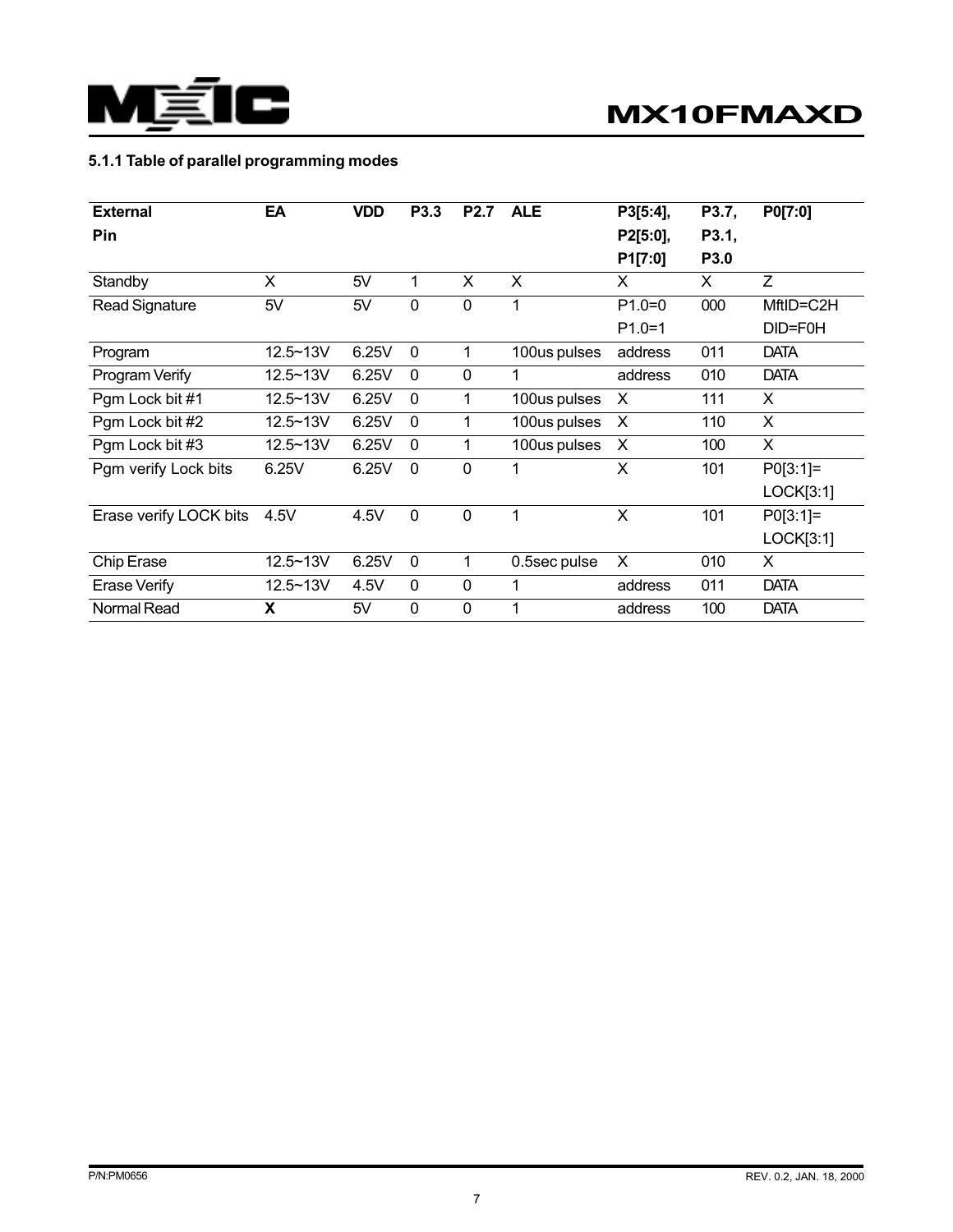

# 5.1.1 Table of parallel programming modes

| <b>External</b>        | EA       | <b>VDD</b> | P3.3        | <b>P2.7</b> | <b>ALE</b>   | P3[5:4], | P3.7, | P0[7:0]     |
|------------------------|----------|------------|-------------|-------------|--------------|----------|-------|-------------|
| Pin                    |          |            |             |             |              | P2[5:0], | P3.1, |             |
|                        |          |            |             |             |              | P1[7:0]  | P3.0  |             |
| Standby                | X        | 5V         | 1           | X           | X            | X        | X     | Z           |
| <b>Read Signature</b>  | 5V       | 5V         | $\mathbf 0$ | 0           | 1            | $P1.0=0$ | 000   | MftID=C2H   |
|                        |          |            |             |             |              | $P1.0=1$ |       | DID=F0H     |
| Program                | 12.5~13V | 6.25V      | $\mathbf 0$ | 1           | 100us pulses | address  | 011   | <b>DATA</b> |
| Program Verify         | 12.5~13V | 6.25V      | $\mathbf 0$ | $\mathbf 0$ |              | address  | 010   | <b>DATA</b> |
| Pgm Lock bit #1        | 12.5~13V | 6.25V      | $\mathbf 0$ | 1           | 100us pulses | X        | 111   | X           |
| Pgm Lock bit #2        | 12.5~13V | 6.25V      | $\mathbf 0$ | 1           | 100us pulses | X        | 110   | X           |
| Pgm Lock bit #3        | 12.5~13V | 6.25V      | $\mathbf 0$ | 1           | 100us pulses | X        | 100   | X           |
| Pgm verify Lock bits   | 6.25V    | 6.25V      | $\mathbf 0$ | $\mathbf 0$ |              | X        | 101   | $PO[3:1]=$  |
|                        |          |            |             |             |              |          |       | LOGK[3:1]   |
| Erase verify LOCK bits | 4.5V     | 4.5V       | $\mathbf 0$ | $\mathbf 0$ | 1            | X        | 101   | $PO[3:1]=$  |
|                        |          |            |             |             |              |          |       | LOGK[3:1]   |
| Chip Erase             | 12.5~13V | 6.25V      | $\mathbf 0$ | 1           | 0.5sec pulse | X        | 010   | X           |
| <b>Erase Verify</b>    | 12.5~13V | 4.5V       | $\mathbf 0$ | $\mathbf 0$ | 1            | address  | 011   | <b>DATA</b> |
| Normal Read            | X        | 5V         | $\mathbf 0$ | $\mathbf 0$ | 1            | address  | 100   | <b>DATA</b> |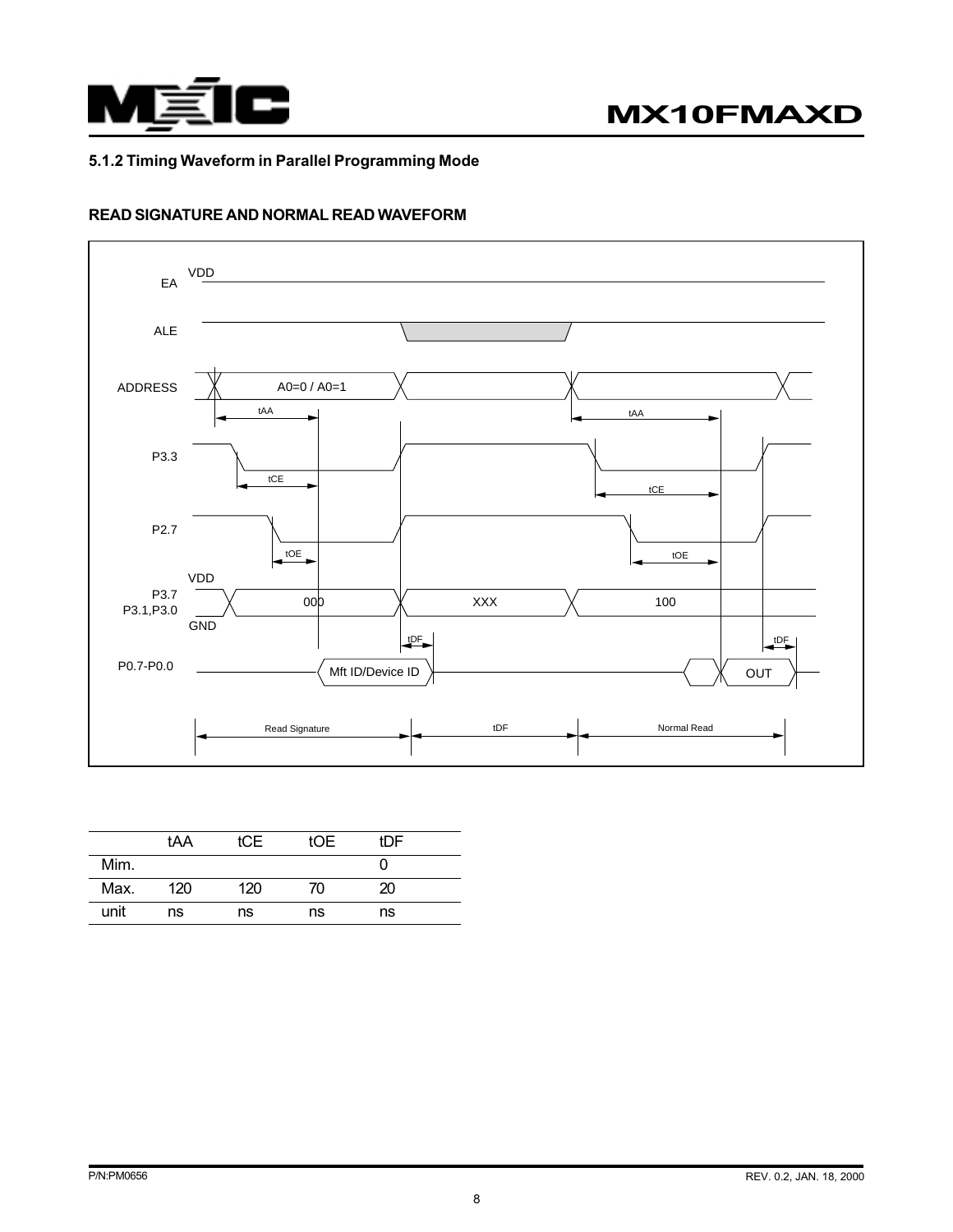

#### 5.1.2 Timing Waveform in Parallel Programming Mode

### READ SIGNATURE AND NORMAL READ WAVEFORM



|      | tAA | ICE | tOE. | tDF |  |
|------|-----|-----|------|-----|--|
| Mim. |     |     |      |     |  |
| Max. | 120 | 120 | 70   | 20  |  |
| unit | ns  | ns  | ns   | ns  |  |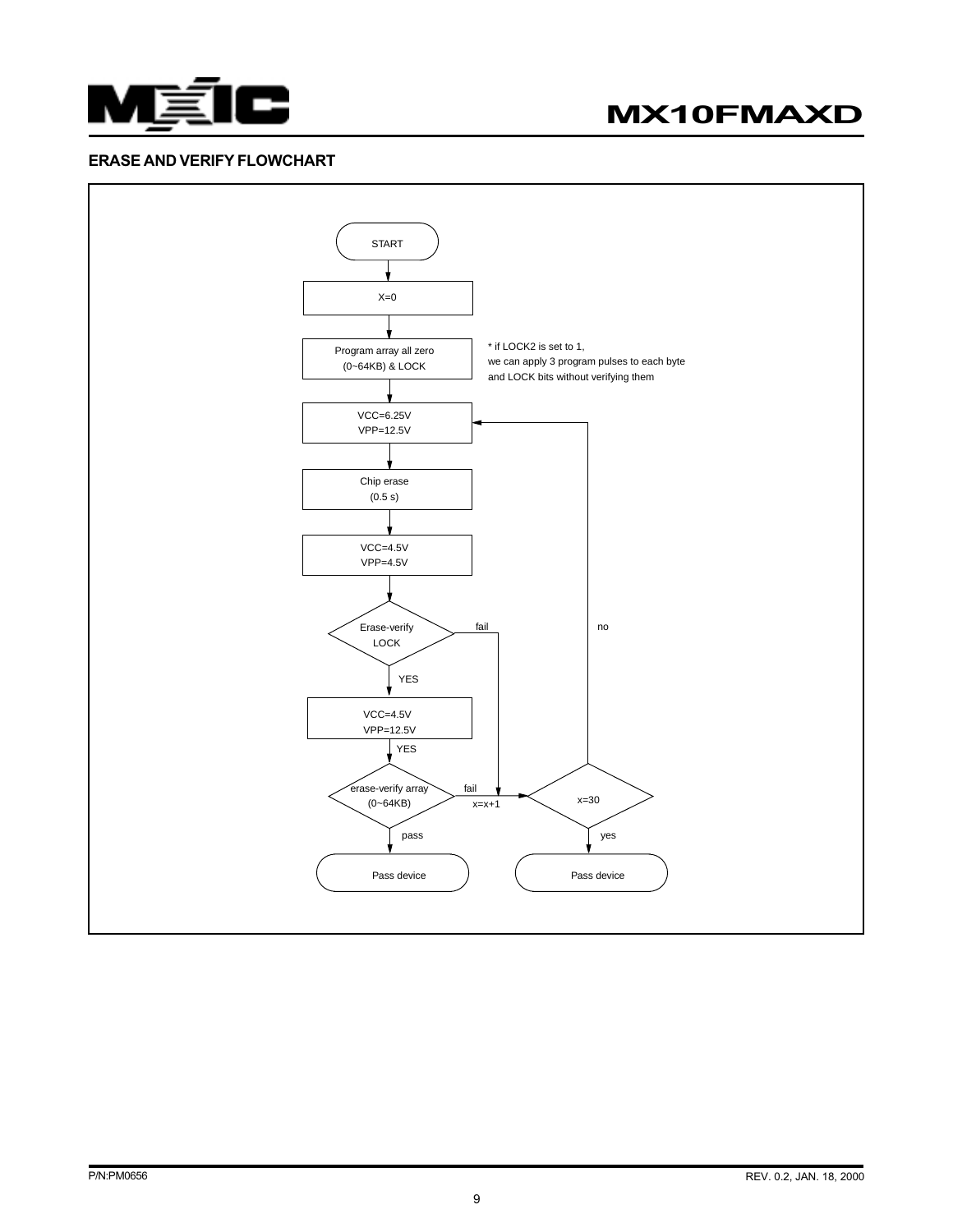

# MX10FMAXD

#### ERASE AND VERIFY FLOWCHART

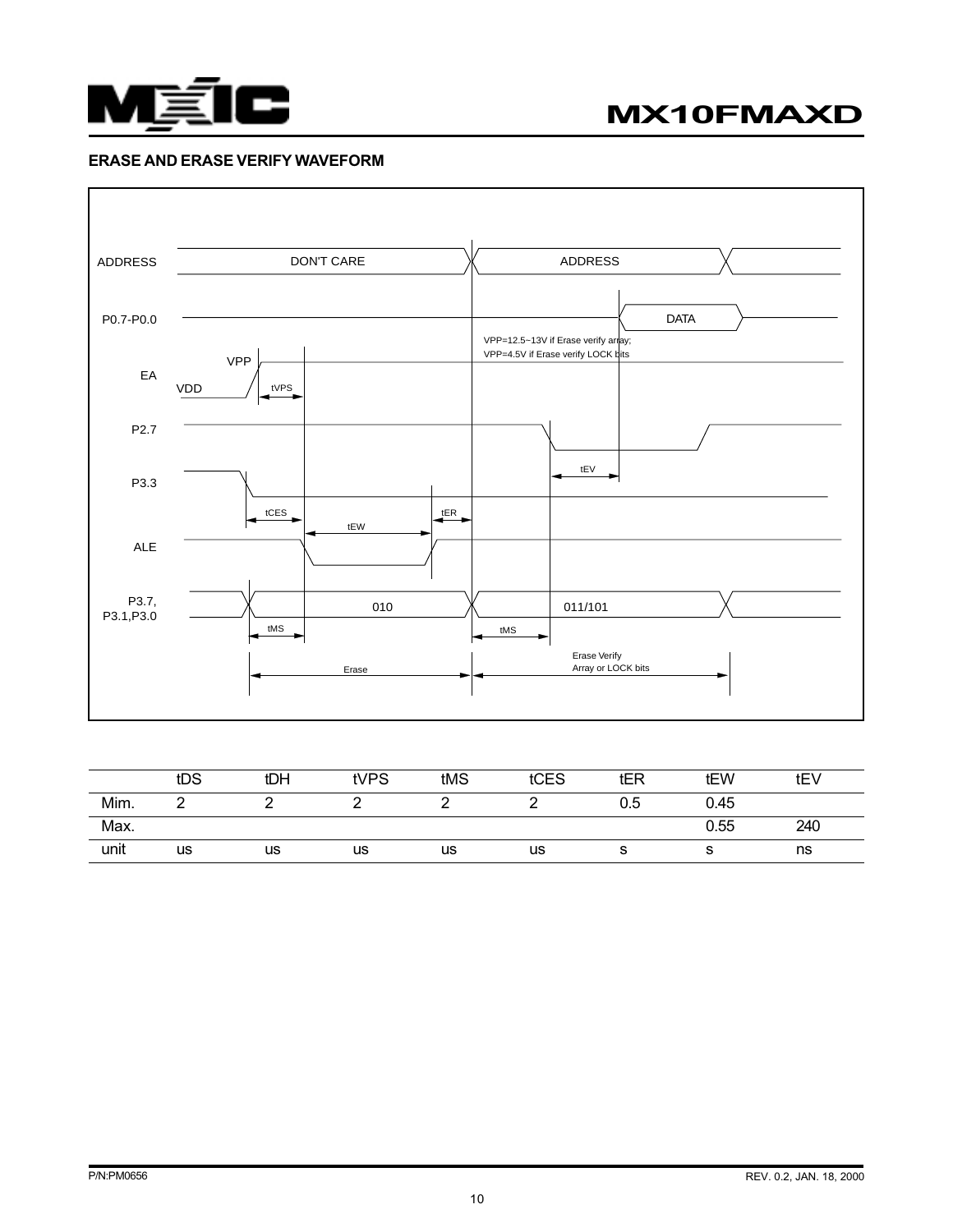

#### ERASE AND ERASE VERIFY WAVEFORM



|      | tDS | tDH | tVPS | tMS | tCES | tER | tEW  | tEV |
|------|-----|-----|------|-----|------|-----|------|-----|
| Mim. |     |     |      |     |      | 0.5 | 0.45 |     |
| Max. |     |     |      |     |      |     | 0.55 | 240 |
| unit | us  | us  | us   | us  | us   | o   |      | ns  |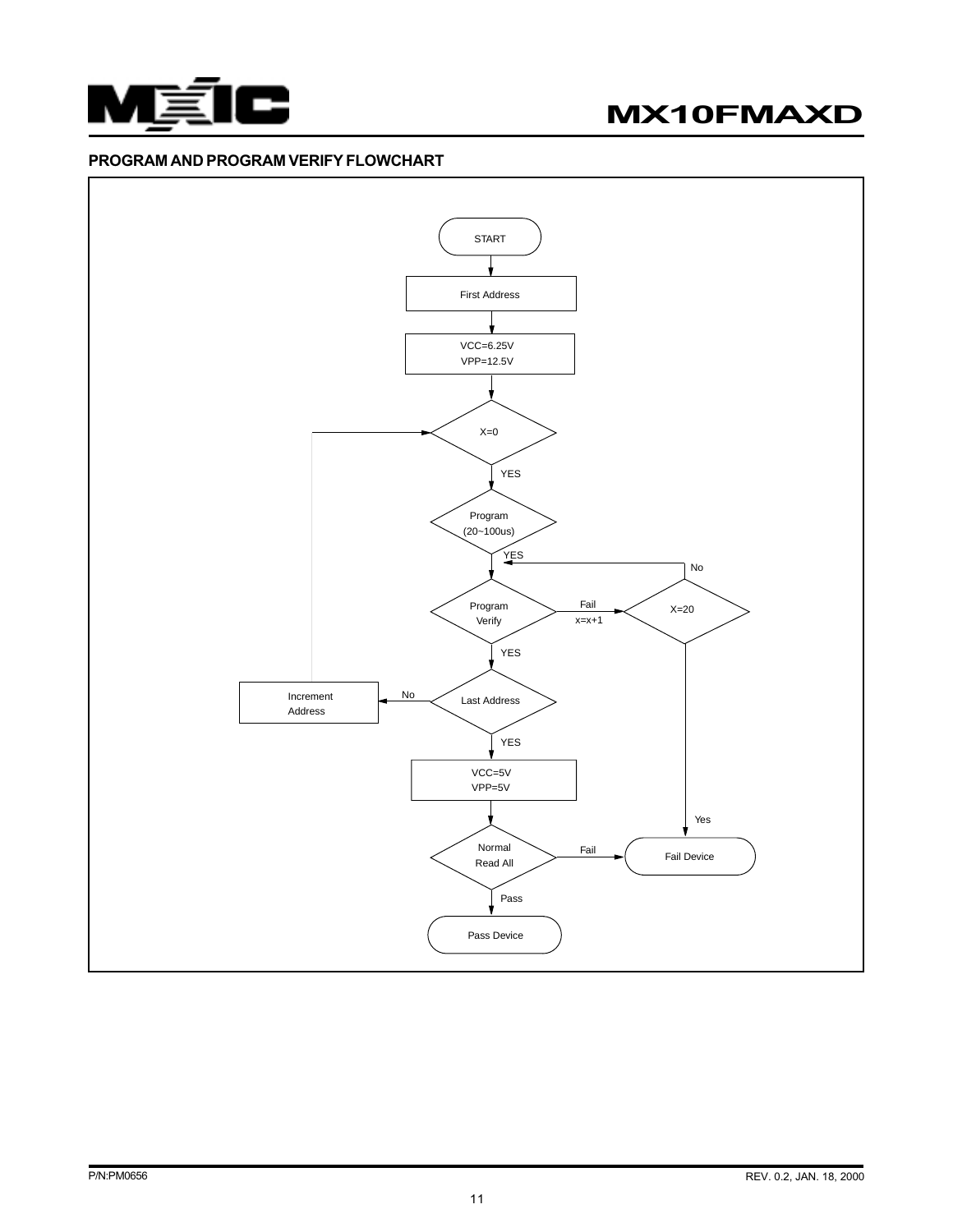

# MX10FMAXD

#### PROGRAM AND PROGRAM VERIFY FLOWCHART

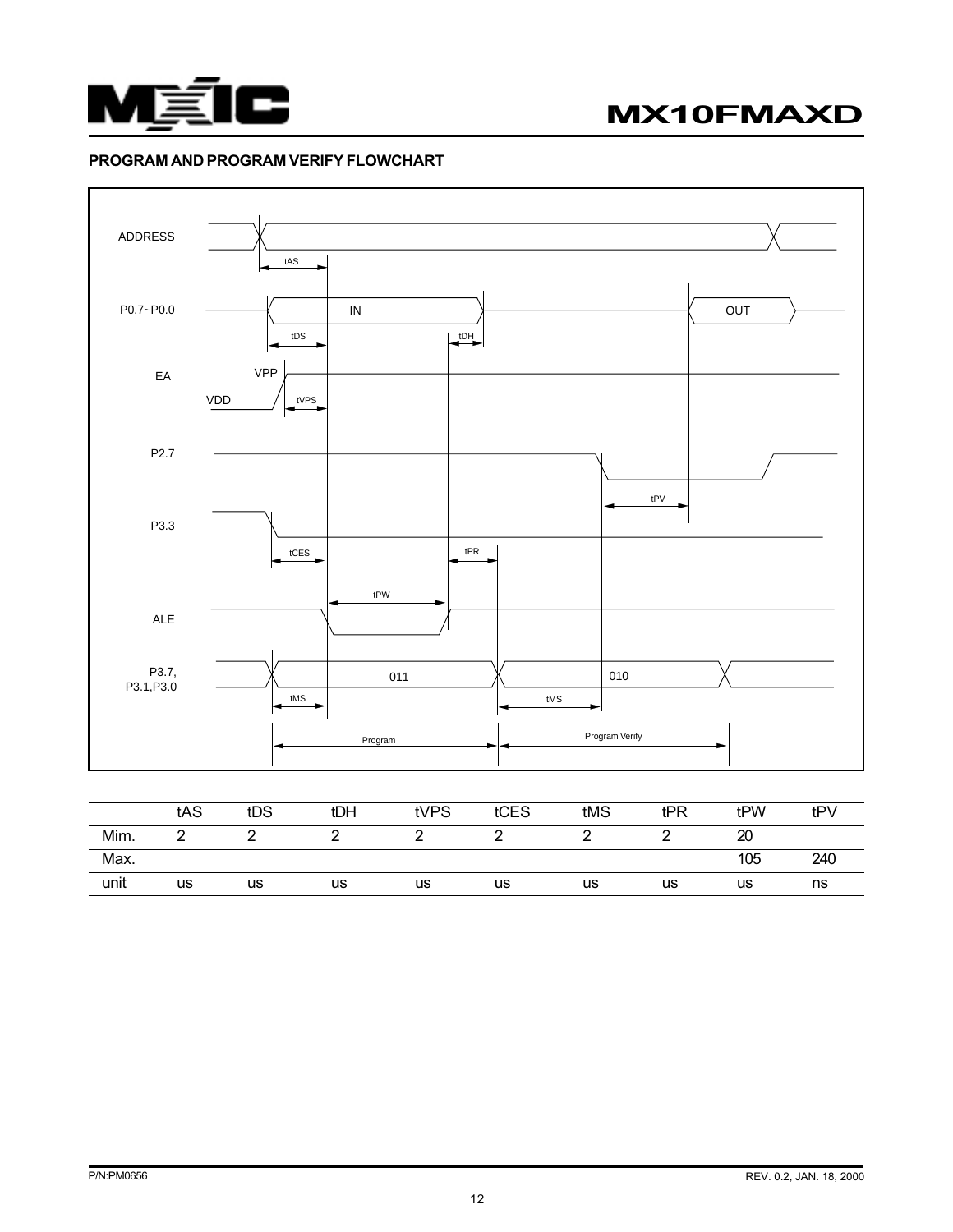



#### PROGRAM AND PROGRAM VERIFY FLOWCHART



|      | ັບ ເບ | ື  | . .       | $\cdots$ | ື  | ww | .  | . <i>.</i> | $\mathbf{u}$ |
|------|-------|----|-----------|----------|----|----|----|------------|--------------|
| Mim. |       |    |           |          |    |    |    | ഹ<br>2U    |              |
| Max. |       |    |           |          |    |    |    | 105        | 240          |
| unit | us    | us | <b>us</b> | us       | us | us | us | us         | ns           |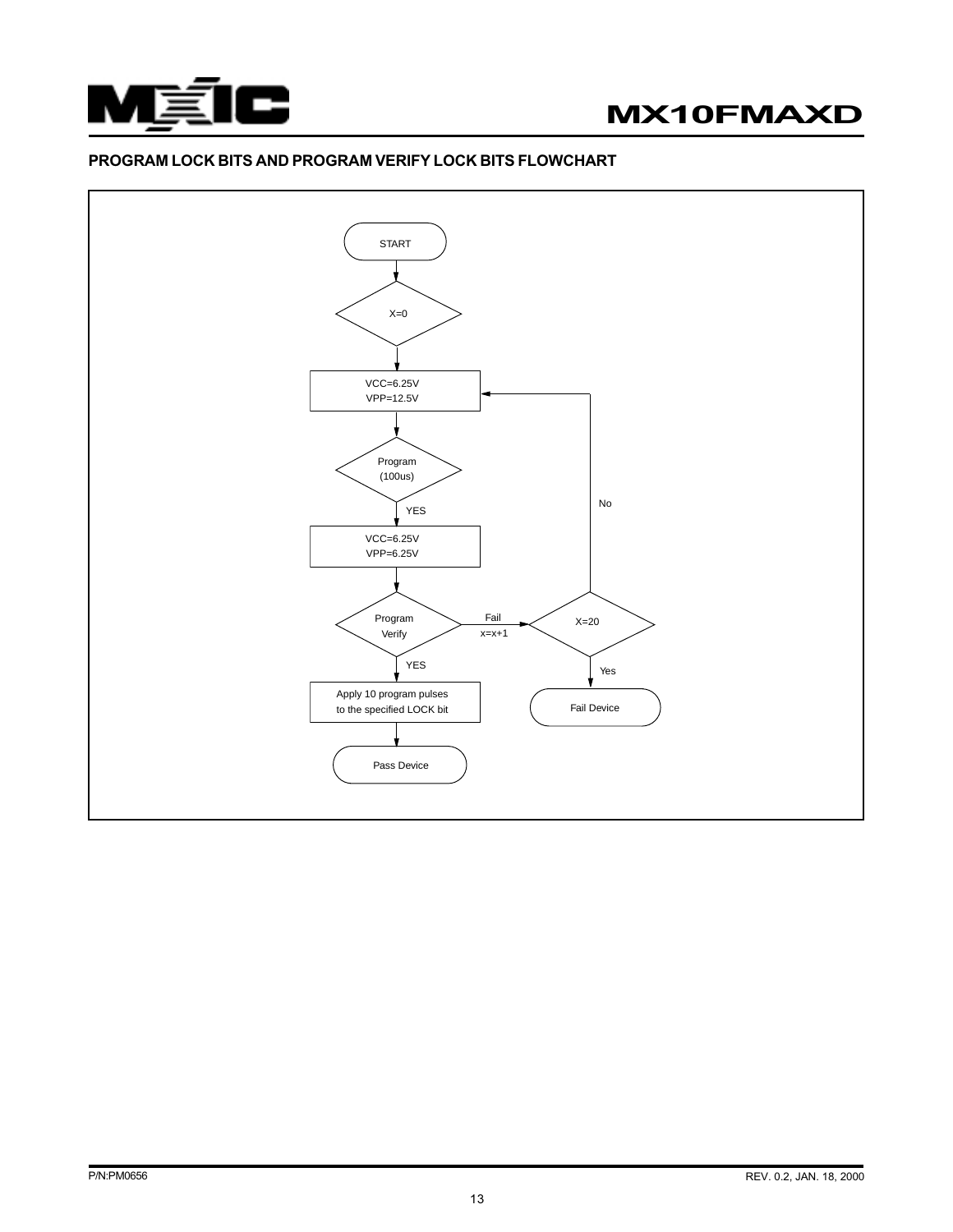



#### PROGRAM LOCK BITS AND PROGRAM VERIFY LOCK BITS FLOWCHART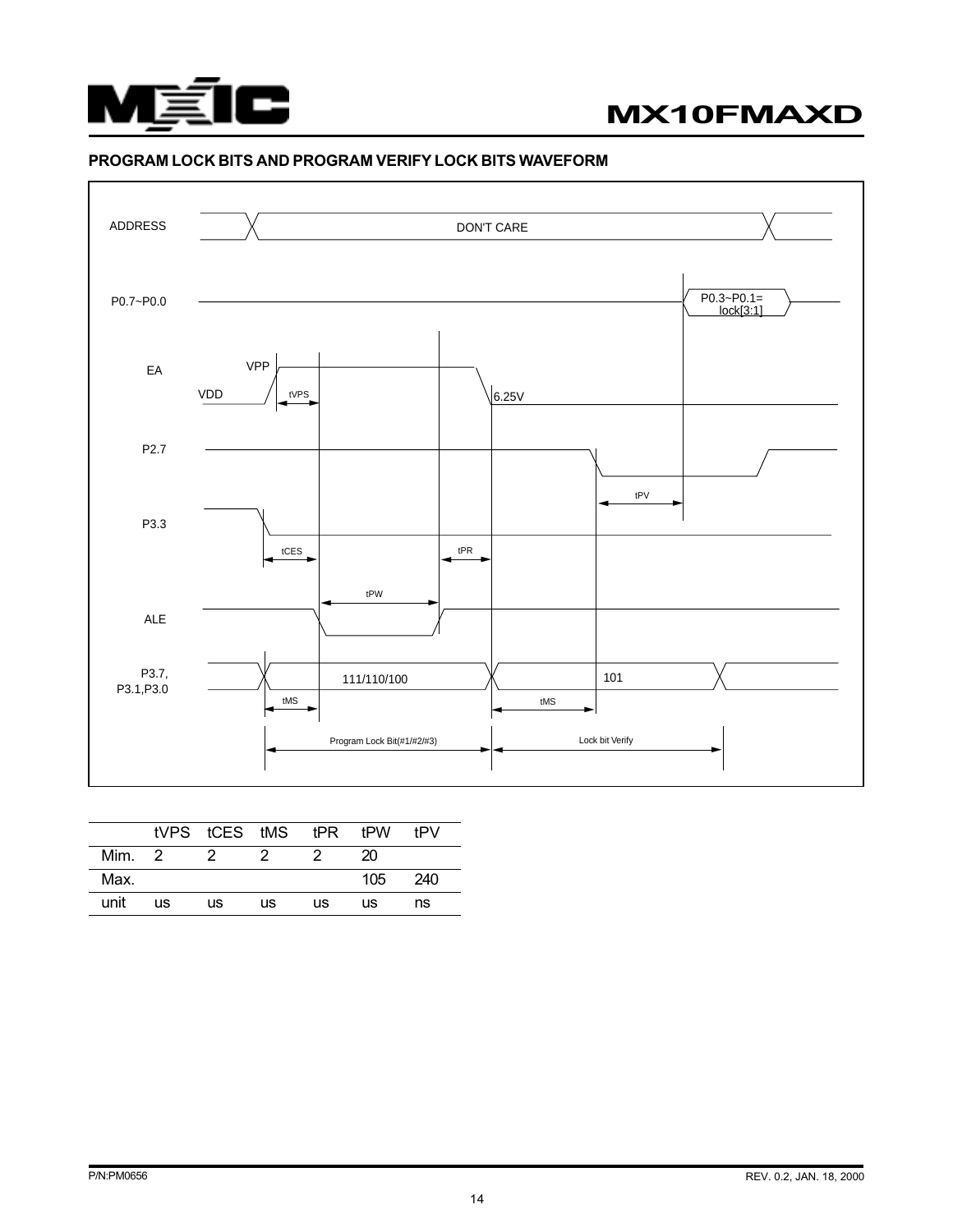

#### PROGRAM LOCK BITS AND PROGRAM VERIFY LOCK BITS WAVEFORM



|      |           | tVPS tCES tMS tPR tPW |    |    |     | tPV |
|------|-----------|-----------------------|----|----|-----|-----|
| Mim. | -2        |                       |    |    | 20  |     |
| Max. |           |                       |    |    | 105 | 240 |
| unit | <b>us</b> | us                    | us | us | us  | ns  |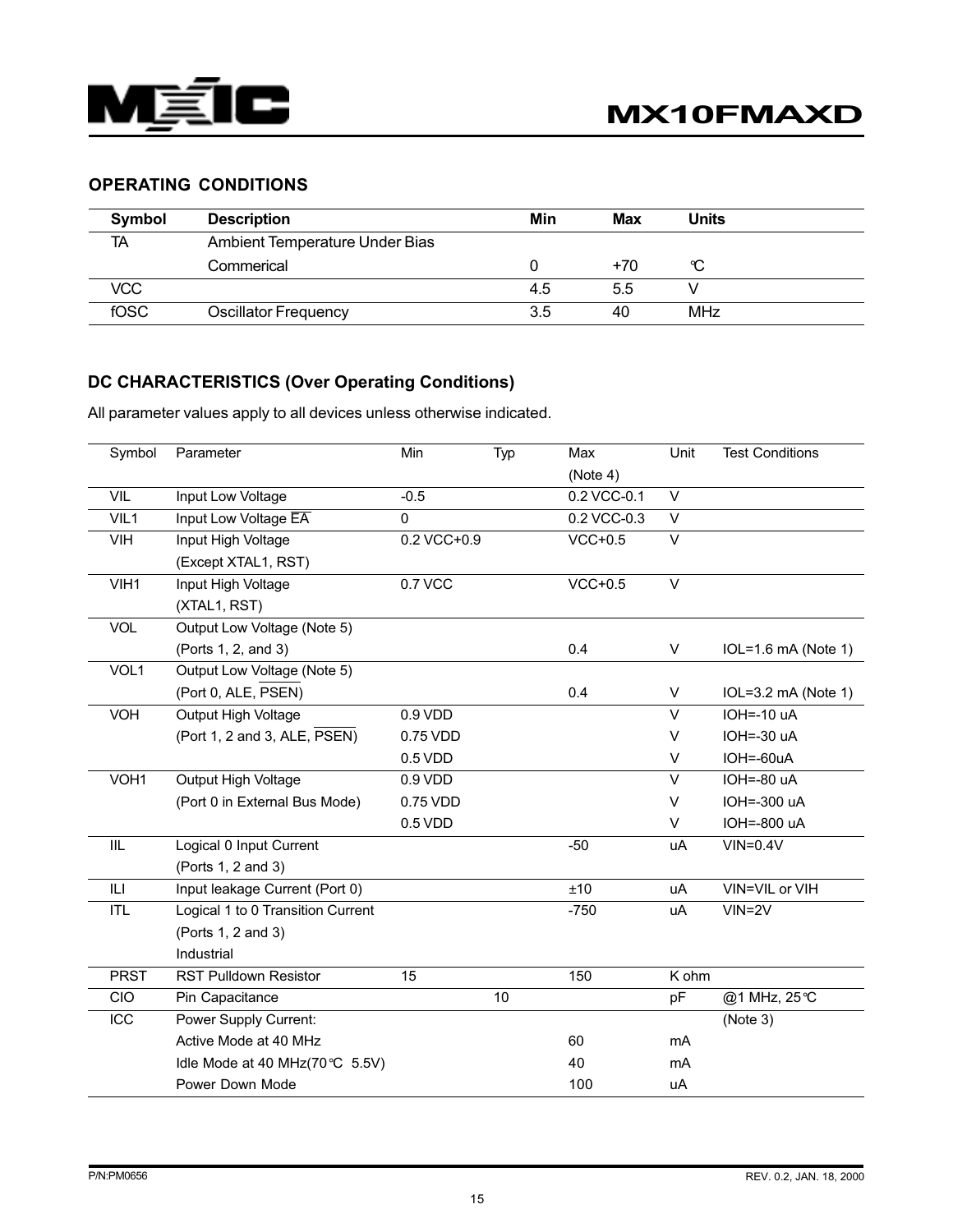

# OPERATING CONDITIONS

| <b>Symbol</b> | <b>Description</b>             | Min | <b>Max</b> | <b>Units</b>    |
|---------------|--------------------------------|-----|------------|-----------------|
| <b>TA</b>     | Ambient Temperature Under Bias |     |            |                 |
|               | Commerical                     |     | $+70$      | °C              |
| VCC           |                                | 4.5 | 5.5        |                 |
| fOSC          | <b>Oscillator Frequency</b>    | 3.5 | 40         | MH <sub>z</sub> |

# DC CHARACTERISTICS (Over Operating Conditions)

All parameter values apply to all devices unless otherwise indicated.

| Symbol      | Parameter                         | Min          | Typ | Max         | Unit         | <b>Test Conditions</b> |
|-------------|-----------------------------------|--------------|-----|-------------|--------------|------------------------|
|             |                                   |              |     | (Note 4)    |              |                        |
| <b>VIL</b>  | Input Low Voltage                 | $-0.5$       |     | 0.2 VCC-0.1 | $\vee$       |                        |
| VIL1        | Input Low Voltage EA              | $\mathbf{0}$ |     | 0.2 VCC-0.3 | $\vee$       |                        |
| VIH         | Input High Voltage                | 0.2 VCC+0.9  |     | $VCC+0.5$   | $\vee$       |                        |
|             | (Except XTAL1, RST)               |              |     |             |              |                        |
| VIH1        | Input High Voltage                | 0.7 VCC      |     | $VCC+0.5$   | $\vee$       |                        |
|             | (XTAL1, RST)                      |              |     |             |              |                        |
| <b>VOL</b>  | Output Low Voltage (Note 5)       |              |     |             |              |                        |
|             | (Ports 1, 2, and 3)               |              |     | 0.4         | $\mathsf{V}$ | $IOL=1.6$ mA (Note 1)  |
| VOL1        | Output Low Voltage (Note 5)       |              |     |             |              |                        |
|             | (Port 0, ALE, PSEN)               |              |     | 0.4         | V            | $IOL=3.2$ mA (Note 1)  |
| VOH         | Output High Voltage               | 0.9 VDD      |     |             | $\vee$       | $IOH = -10 uA$         |
|             | (Port 1, 2 and 3, ALE, PSEN)      | 0.75 VDD     |     |             | $\vee$       | $IOH=.30 uA$           |
|             |                                   | 0.5 VDD      |     |             | $\vee$       | IOH=-60uA              |
| VOH1        | Output High Voltage               | 0.9 VDD      |     |             | $\vee$       | IOH=-80 uA             |
|             | (Port 0 in External Bus Mode)     | 0.75 VDD     |     |             | $\vee$       | IOH=-300 uA            |
|             |                                   | 0.5 VDD      |     |             | V            | IOH=-800 uA            |
| IIL         | Logical 0 Input Current           |              |     | $-50$       | uA           | $VIN = 0.4V$           |
|             | (Ports 1, 2 and 3)                |              |     |             |              |                        |
| ILI         | Input leakage Current (Port 0)    |              |     | ±10         | uA           | VIN=VIL or VIH         |
| <b>ITL</b>  | Logical 1 to 0 Transition Current |              |     | $-750$      | uA           | $VIN = 2V$             |
|             | (Ports 1, 2 and 3)                |              |     |             |              |                        |
|             | Industrial                        |              |     |             |              |                        |
| <b>PRST</b> | <b>RST Pulldown Resistor</b>      | 15           |     | 150         | K ohm        |                        |
| CIO         | Pin Capacitance                   |              | 10  |             | pF           | @1 MHz, 25℃            |
| ICC         | Power Supply Current:             |              |     |             |              | (Note 3)               |
|             | Active Mode at 40 MHz             |              |     | 60          | mA           |                        |
|             | Idle Mode at 40 MHz(70℃ 5.5V)     |              |     | 40          | mA           |                        |
|             | Power Down Mode                   |              |     | 100         | uA           |                        |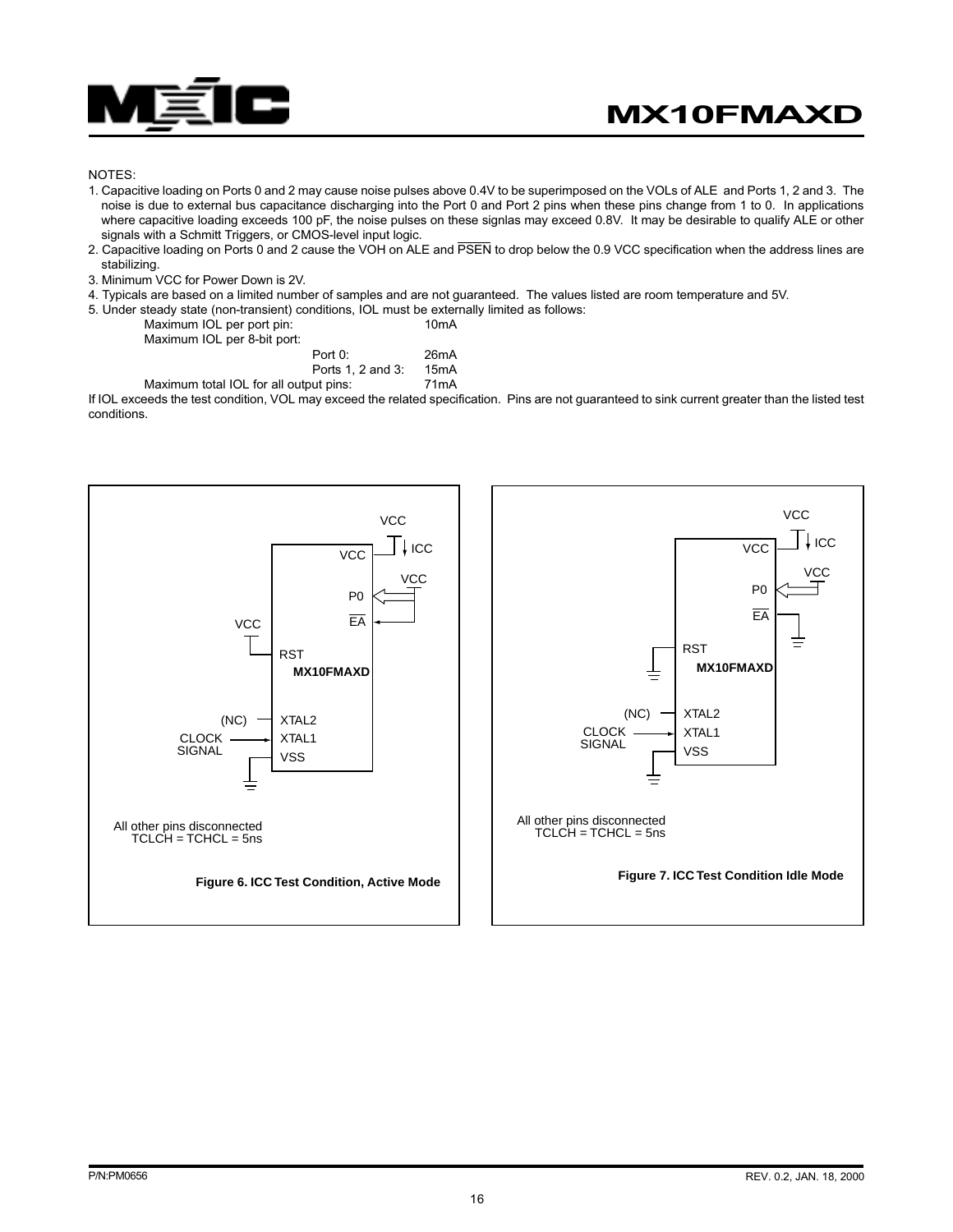

#### NOTES:

- 1. Capacitive loading on Ports 0 and 2 may cause noise pulses above 0.4V to be superimposed on the VOLs of ALE and Ports 1, 2 and 3. The noise is due to external bus capacitance discharging into the Port 0 and Port 2 pins when these pins change from 1 to 0. In applications where capacitive loading exceeds 100 pF, the noise pulses on these signlas may exceed 0.8V. It may be desirable to qualify ALE or other signals with a Schmitt Triggers, or CMOS-level input logic.
- 2. Capacitive loading on Ports 0 and 2 cause the VOH on ALE and PSEN to drop below the 0.9 VCC specification when the address lines are stabilizing.
- 3. Minimum VCC for Power Down is 2V.
- 4. Typicals are based on a limited number of samples and are not guaranteed. The values listed are room temperature and 5V.

5. Under steady state (non-transient) conditions, IOL must be externally limited as follows:

| Maximum IOL per port pin:<br>Maximum IOL per 8-bit port: |                              | 10 <sub>m</sub> A         |
|----------------------------------------------------------|------------------------------|---------------------------|
|                                                          | Port 0:<br>Ports 1, 2 and 3: | 26mA<br>15 <sub>m</sub> A |

Maximum total IOL for all output pins: 71mA

If IOL exceeds the test condition, VOL may exceed the related specification. Pins are not guaranteed to sink current greater than the listed test conditions.



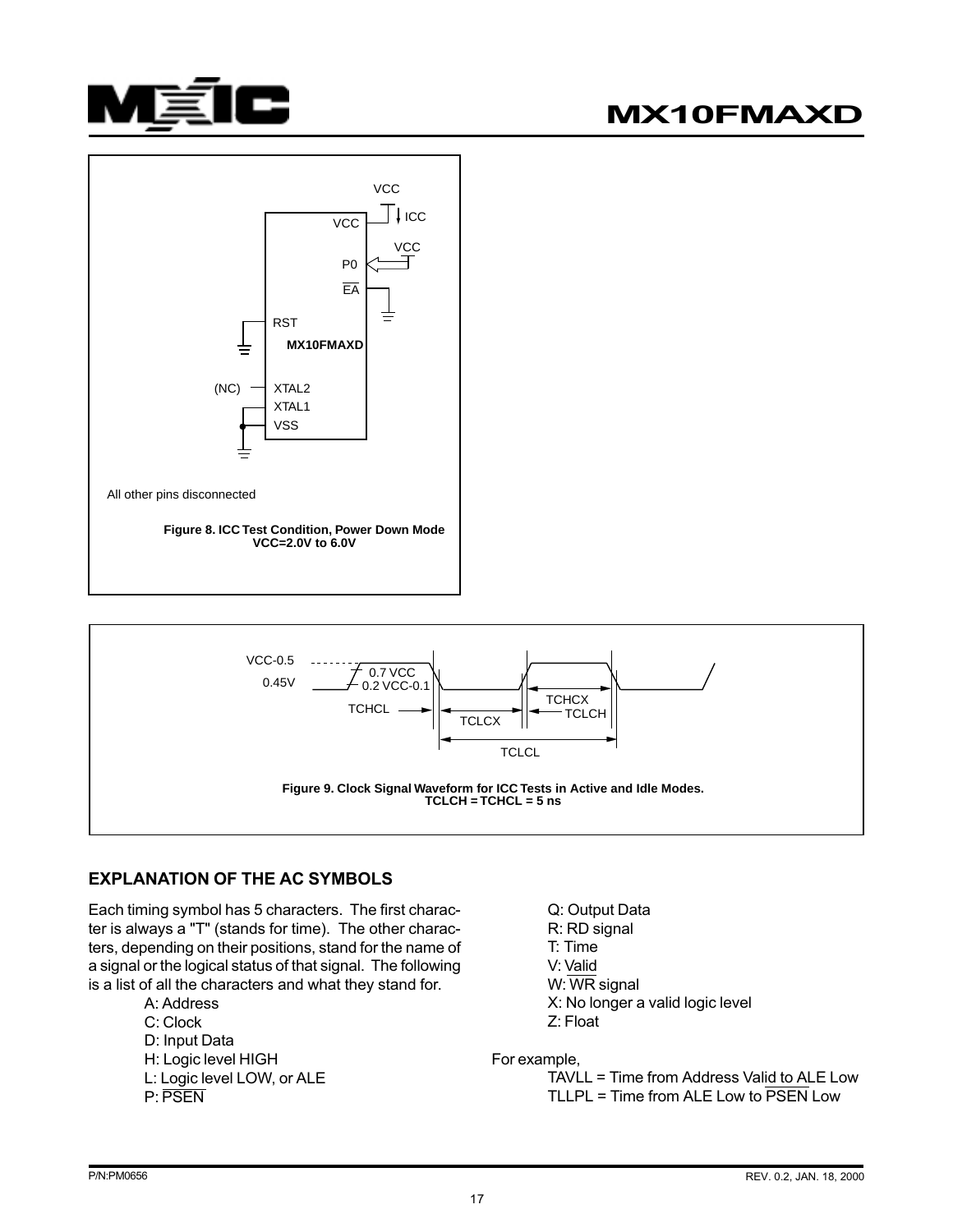





# EXPLANATION OF THE AC SYMBOLS

Each timing symbol has 5 characters. The first character is always a "T" (stands for time). The other characters, depending on their positions, stand for the name of a signal or the logical status of that signal. The following is a list of all the characters and what they stand for.

A: Address C: Clock D: Input Data H: Logic level HIGH L: Logic level LOW, or ALE P: PSEN

Q: Output Data R: RD signal T: Time V: Valid W: WR signal X: No longer a valid logic level Z: Float

For example,

TAVLL = Time from Address Valid to ALE Low TLLPL = Time from ALE Low to  $\overline{PSEN}$  Low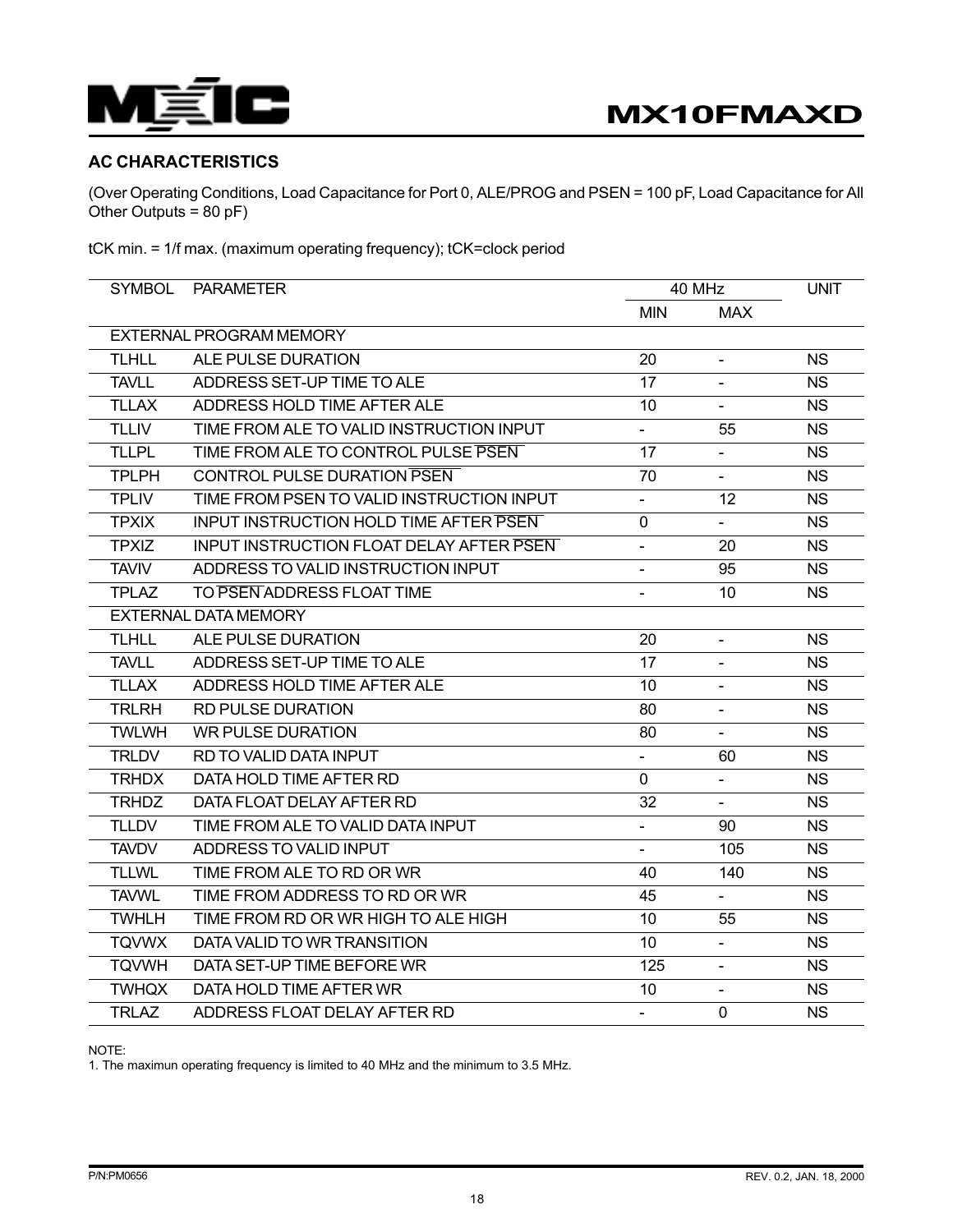

# AC CHARACTERISTICS

(Over Operating Conditions, Load Capacitance for Port 0, ALE/PROG and PSEN = 100 pF, Load Capacitance for All Other Outputs = 80 pF)

tCK min. = 1/f max. (maximum operating frequency); tCK=clock period

| <b>SYMBOL</b> | <b>PARAMETER</b>                                |                          | 40 MHz                   |           |
|---------------|-------------------------------------------------|--------------------------|--------------------------|-----------|
|               |                                                 | <b>MIN</b>               | <b>MAX</b>               |           |
|               | <b>EXTERNAL PROGRAM MEMORY</b>                  |                          |                          |           |
| <b>TLHLL</b>  | ALE PULSE DURATION                              | 20                       | $\blacksquare$           | <b>NS</b> |
| <b>TAVLL</b>  | ADDRESS SET-UP TIME TO ALE                      | 17                       |                          | <b>NS</b> |
| <b>TLLAX</b>  | ADDRESS HOLD TIME AFTER ALE                     | 10                       | $\blacksquare$           | <b>NS</b> |
| <b>TLLIV</b>  | TIME FROM ALE TO VALID INSTRUCTION INPUT        | $\blacksquare$           | 55                       | <b>NS</b> |
| <b>TLLPL</b>  | TIME FROM ALE TO CONTROL PULSE PSEN             | 17                       |                          | <b>NS</b> |
| <b>TPLPH</b>  | <b>CONTROL PULSE DURATION PSEN</b>              | 70                       | $\overline{\phantom{a}}$ | <b>NS</b> |
| <b>TPLIV</b>  | TIME FROM PSEN TO VALID INSTRUCTION INPUT       | $\blacksquare$           | 12                       | <b>NS</b> |
| <b>TPXIX</b>  | <b>INPUT INSTRUCTION HOLD TIME AFTER PSEN</b>   | 0                        |                          | <b>NS</b> |
| <b>TPXIZ</b>  | <b>INPUT INSTRUCTION FLOAT DELAY AFTER PSEN</b> | $\blacksquare$           | 20                       | <b>NS</b> |
| <b>TAVIV</b>  | ADDRESS TO VALID INSTRUCTION INPUT              | $\blacksquare$           | 95                       | <b>NS</b> |
| <b>TPLAZ</b>  | TO PSEN ADDRESS FLOAT TIME                      |                          | 10                       | <b>NS</b> |
|               | <b>EXTERNAL DATA MEMORY</b>                     |                          |                          |           |
| <b>TLHLL</b>  | ALE PULSE DURATION                              | 20                       | $\blacksquare$           | <b>NS</b> |
| <b>TAVLL</b>  | ADDRESS SET-UP TIME TO ALE                      | 17                       |                          | <b>NS</b> |
| <b>TLLAX</b>  | ADDRESS HOLD TIME AFTER ALE                     | 10                       | $\blacksquare$           | <b>NS</b> |
| <b>TRLRH</b>  | <b>RD PULSE DURATION</b>                        | 80                       | $\blacksquare$           | <b>NS</b> |
| <b>TWLWH</b>  | <b>WR PULSE DURATION</b>                        | 80                       |                          | <b>NS</b> |
| <b>TRLDV</b>  | RD TO VALID DATA INPUT                          | $\blacksquare$           | 60                       | <b>NS</b> |
| <b>TRHDX</b>  | DATA HOLD TIME AFTER RD                         | 0                        | $\blacksquare$           | <b>NS</b> |
| <b>TRHDZ</b>  | DATA FLOAT DELAY AFTER RD                       | 32                       | $\overline{a}$           | <b>NS</b> |
| <b>TLLDV</b>  | TIME FROM ALE TO VALID DATA INPUT               | $\overline{\phantom{a}}$ | 90                       | <b>NS</b> |
| <b>TAVDV</b>  | ADDRESS TO VALID INPUT                          |                          | 105                      | <b>NS</b> |
| <b>TLLWL</b>  | TIME FROM ALE TO RD OR WR                       | 40                       | 140                      | <b>NS</b> |
| <b>TAVWL</b>  | TIME FROM ADDRESS TO RD OR WR                   | 45                       | $\blacksquare$           | <b>NS</b> |
| <b>TWHLH</b>  | TIME FROM RD OR WR HIGH TO ALE HIGH             | 10                       | 55                       | <b>NS</b> |
| <b>TQVWX</b>  | DATA VALID TO WR TRANSITION                     | 10                       | $\blacksquare$           | <b>NS</b> |
| <b>TQVWH</b>  | DATA SET-UP TIME BEFORE WR                      | 125                      | $\blacksquare$           | <b>NS</b> |
| <b>TWHQX</b>  | DATA HOLD TIME AFTER WR                         | 10                       |                          | <b>NS</b> |
| <b>TRLAZ</b>  | ADDRESS FLOAT DELAY AFTER RD                    | $\blacksquare$           | $\mathbf 0$              | <b>NS</b> |

NOTE:

1. The maximun operating frequency is limited to 40 MHz and the minimum to 3.5 MHz.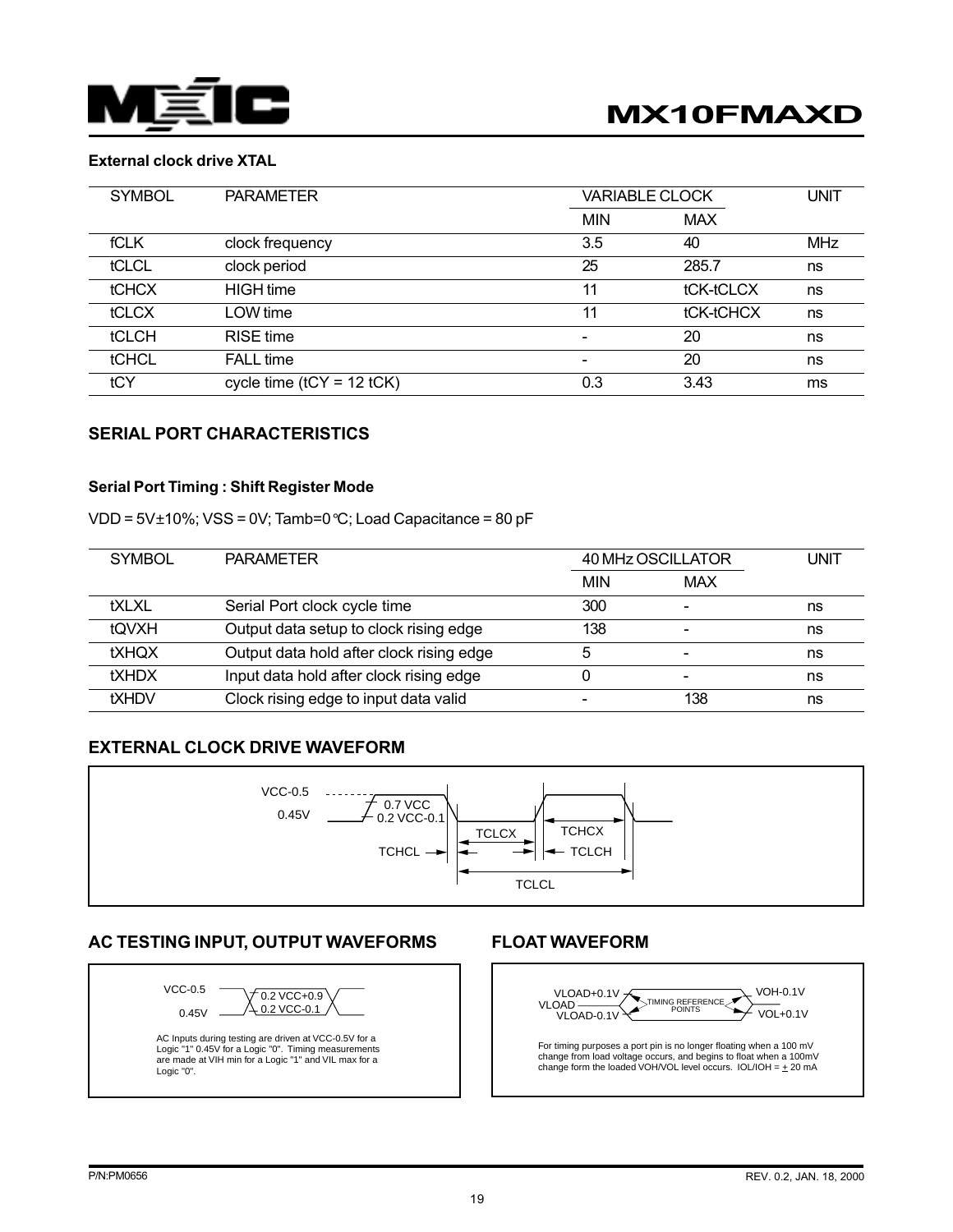

# External clock drive XTAL

| <b>SYMBOL</b> | <b>PARAMETER</b>            |            | <b>VARIABLE CLOCK</b> |            |
|---------------|-----------------------------|------------|-----------------------|------------|
|               |                             | <b>MIN</b> | <b>MAX</b>            |            |
| <b>fCLK</b>   | clock frequency             | 3.5        | 40                    | <b>MHz</b> |
| tCLCL         | clock period                | 25         | 285.7                 | ns         |
| <b>tCHCX</b>  | <b>HIGH</b> time            | 11         | tCK-tCLCX             | ns         |
| tCLCX         | LOW time                    | 11         | tCK-tCHCX             | ns         |
| <b>tCLCH</b>  | <b>RISE</b> time            |            | 20                    | ns         |
| tCHCL         | <b>FALL</b> time            | -          | 20                    | ns         |
| tCY           | cycle time $(tCY = 12 tCK)$ | 0.3        | 3.43                  | ms         |

#### SERIAL PORT CHARACTERISTICS

#### Serial Port Timing : Shift Register Mode

VDD =  $5V\pm10\%$ ; VSS = 0V; Tamb=0 °C; Load Capacitance = 80 pF

| <b>SYMBOL</b> | <b>PARAMETER</b>                         | 40 MHz OSCILLATOR |                          | <b>UNIT</b> |
|---------------|------------------------------------------|-------------------|--------------------------|-------------|
|               |                                          | <b>MIN</b>        | <b>MAX</b>               |             |
| tXLXL         | Serial Port clock cycle time             | 300               | $\overline{\phantom{a}}$ | ns          |
| tOVXH         | Output data setup to clock rising edge   | 138               | $\qquad \qquad$          | ns          |
| <b>tXHQX</b>  | Output data hold after clock rising edge |                   | $\overline{\phantom{0}}$ | ns          |
| <b>tXHDX</b>  | Input data hold after clock rising edge  |                   | $\overline{\phantom{0}}$ | ns          |
| <b>tXHDV</b>  | Clock rising edge to input data valid    |                   | 138                      | ns          |

#### EXTERNAL CLOCK DRIVE WAVEFORM



# AC TESTING INPUT, OUTPUT WAVEFORMS FLOAT WAVEFORM



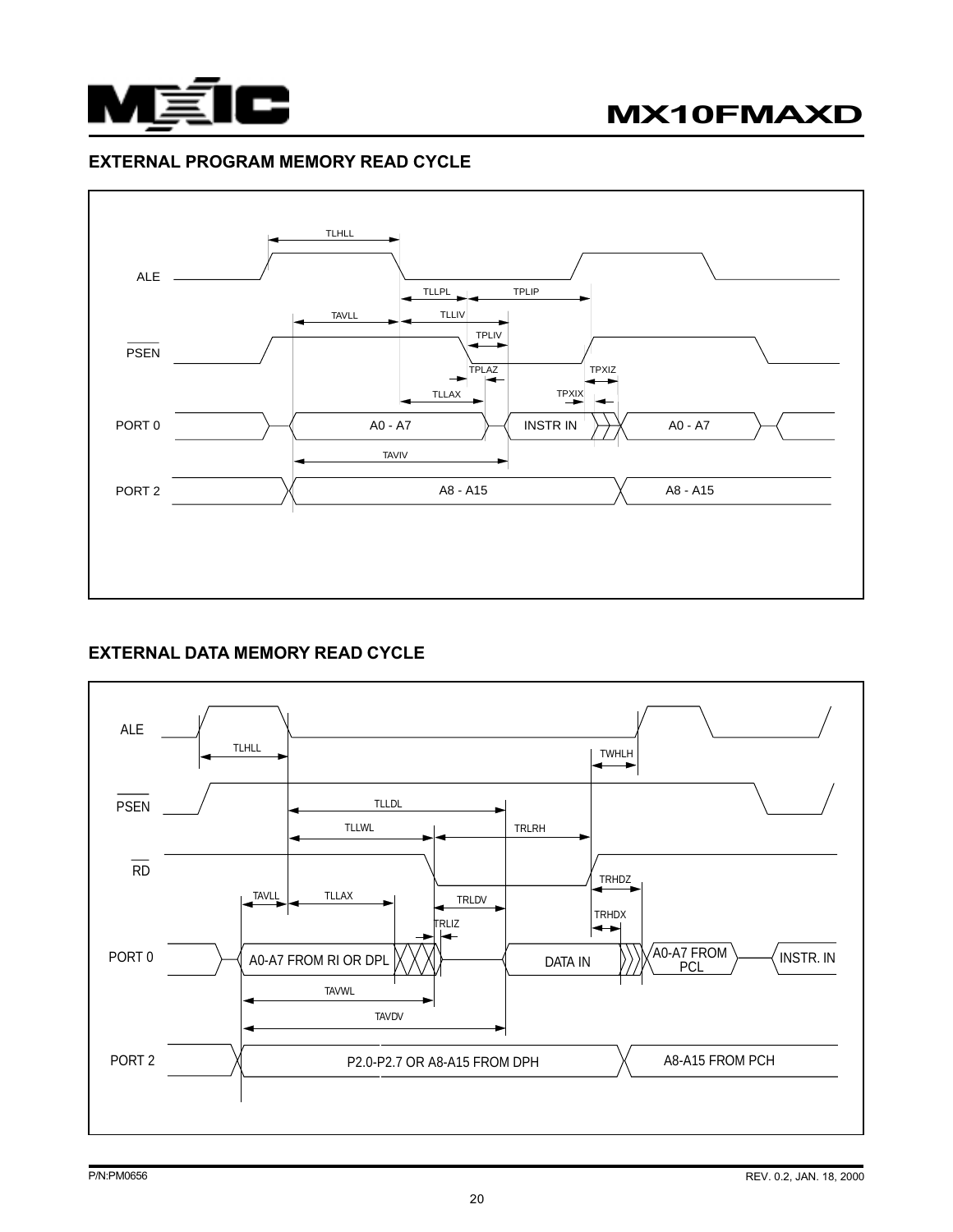

## EXTERNAL PROGRAM MEMORY READ CYCLE



# EXTERNAL DATA MEMORY READ CYCLE

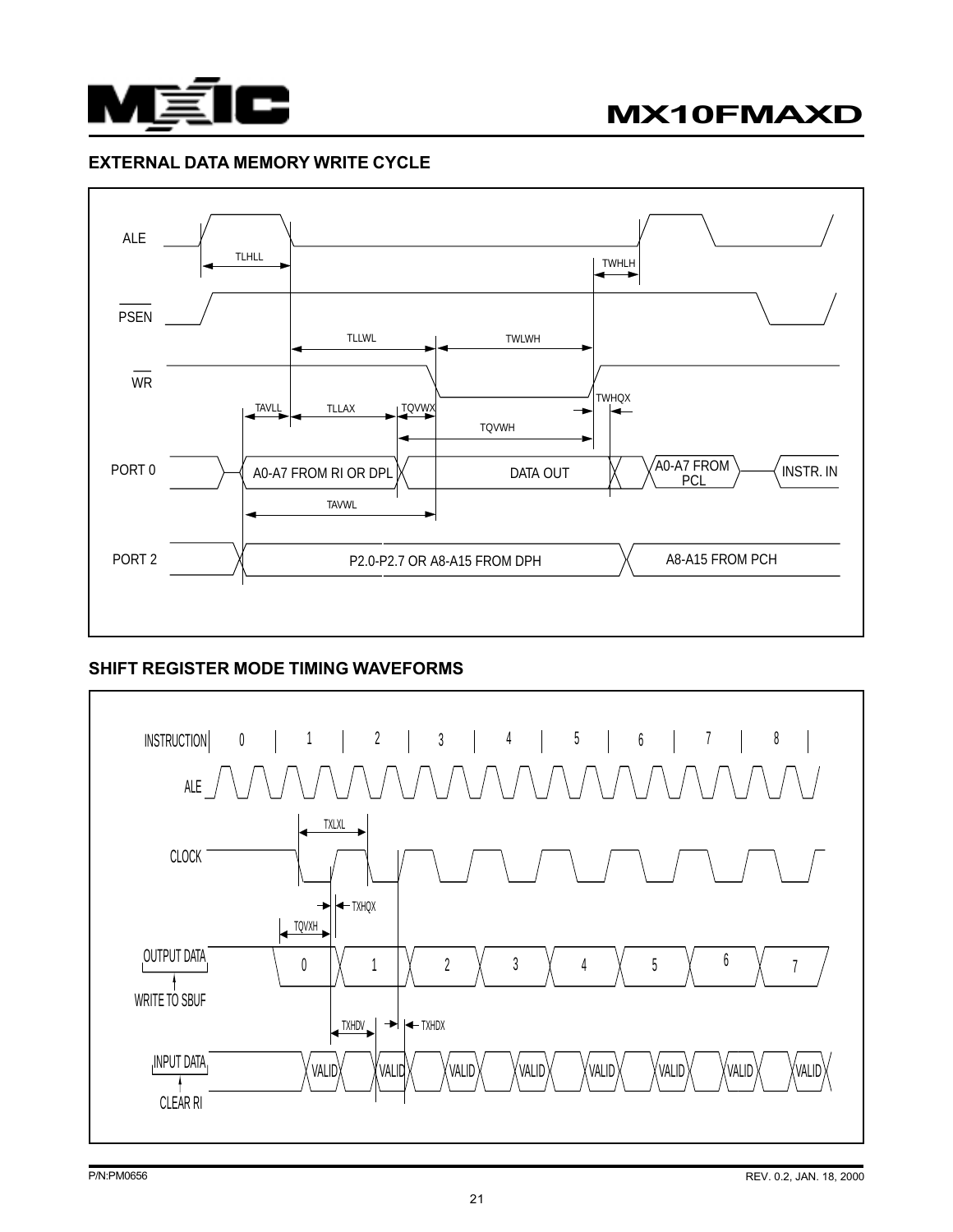



# EXTERNAL DATA MEMORY WRITE CYCLE



# SHIFT REGISTER MODE TIMING WAVEFORMS

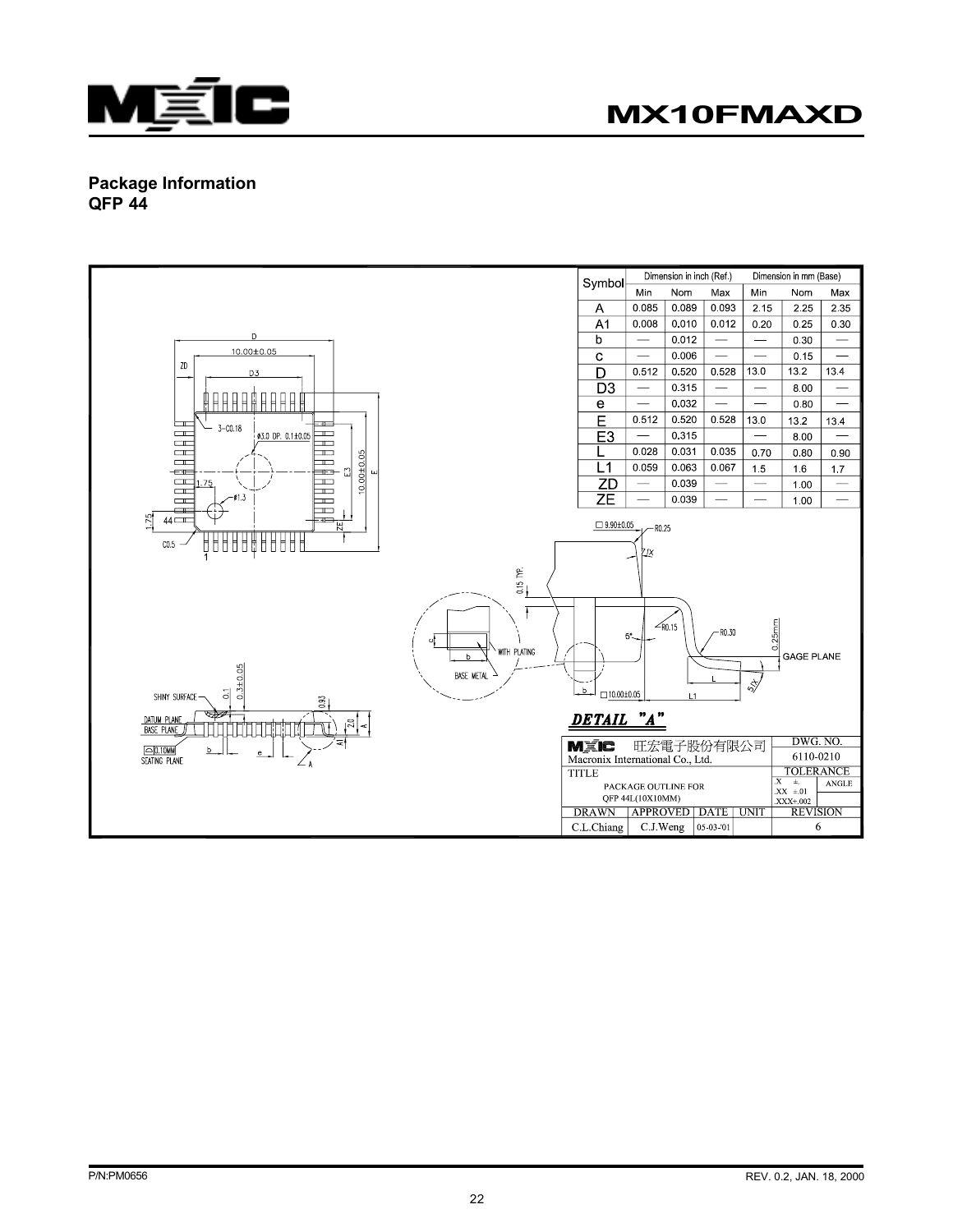

# Package Information QFP 44

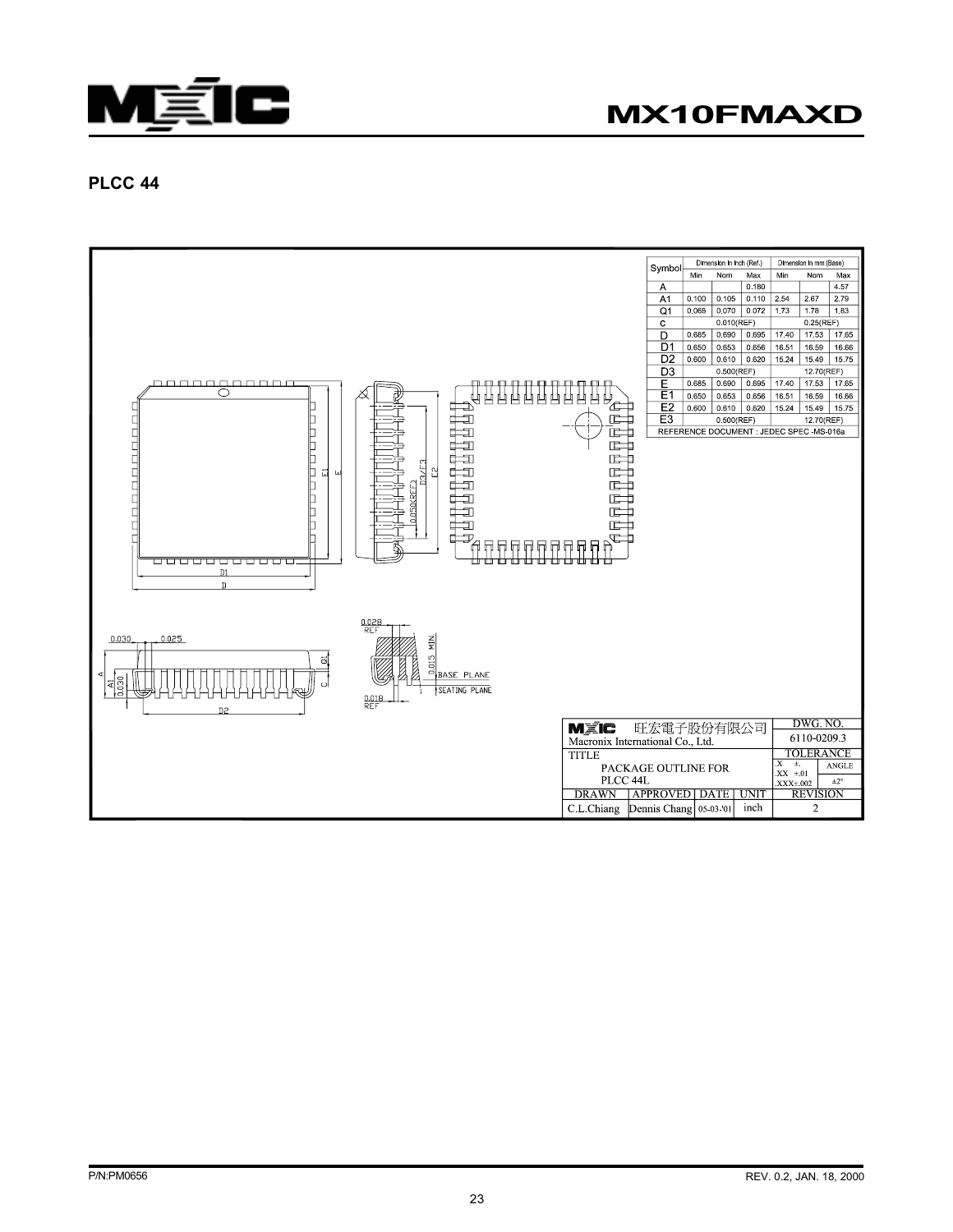



## PLCC 44

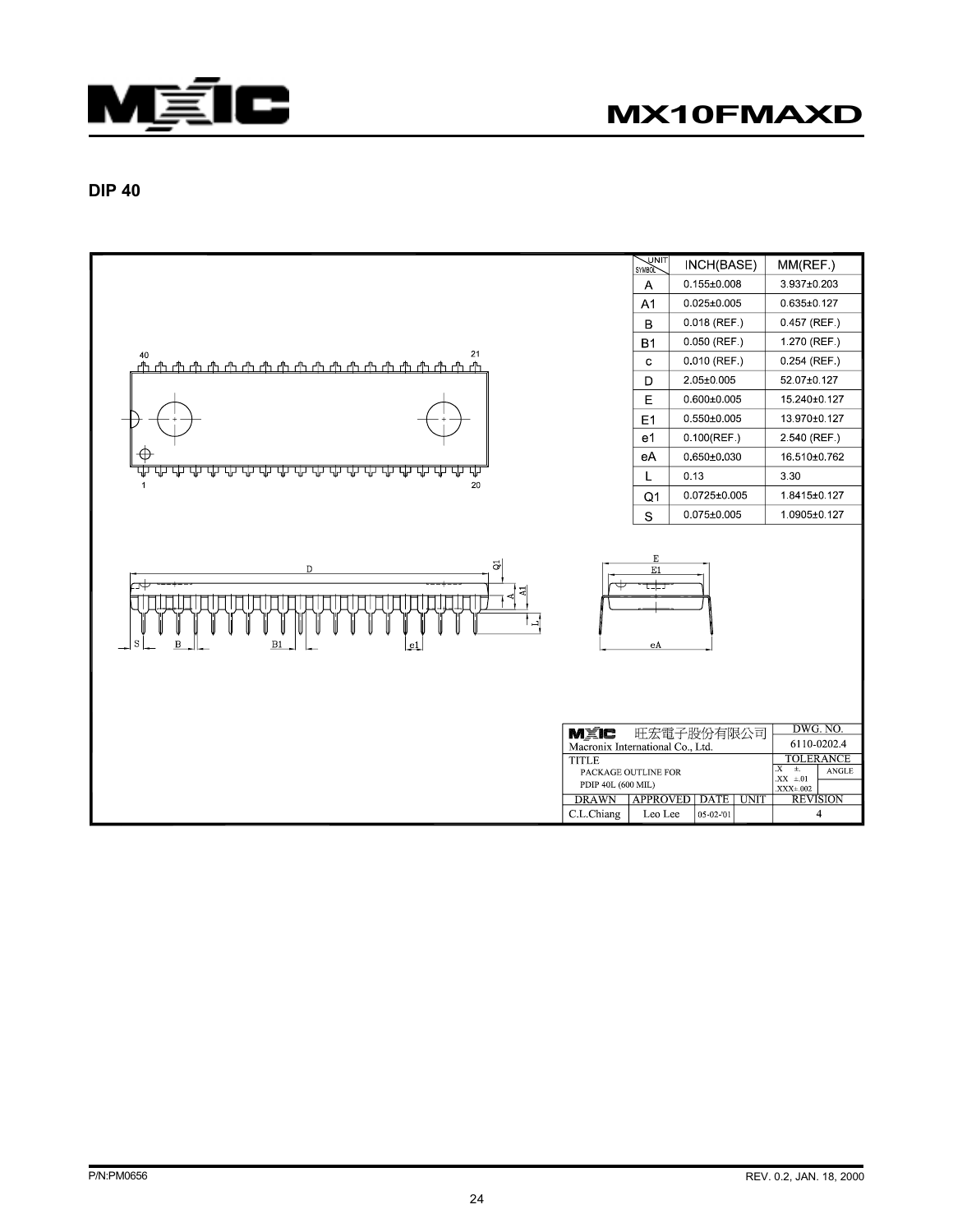



DIP 40